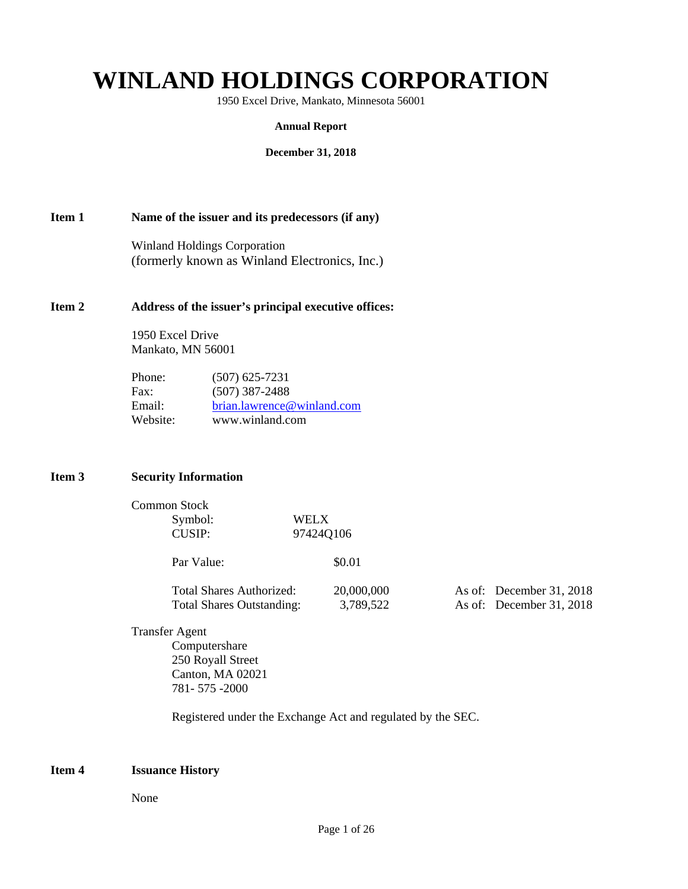# **WINLAND HOLDINGS CORPORATION**

1950 Excel Drive, Mankato, Minnesota 56001

#### **Annual Report**

#### **December 31, 2018**

**Item 1** Name of the issuer and its predecessors (if any)

Winland Holdings Corporation (formerly known as Winland Electronics, Inc.)

## **Item 2 Address of the issuer's principal executive offices:**

 1950 Excel Drive Mankato, MN 56001

| $(507)$ 625-7231           |
|----------------------------|
| $(507)$ 387-2488           |
| brian.lawrence@winland.com |
| www.winland.com            |
|                            |

## **Item 3 Security Information**

| Common Stock<br>Symbol:<br>CUSIP:                            | WELX<br>97424Q106 |                         |  |                                                      |
|--------------------------------------------------------------|-------------------|-------------------------|--|------------------------------------------------------|
| Par Value:                                                   |                   | \$0.01                  |  |                                                      |
| Total Shares Authorized:<br><b>Total Shares Outstanding:</b> |                   | 20,000,000<br>3,789,522 |  | As of: December 31, 2018<br>As of: December 31, 2018 |
| <b>Transfer Agent</b><br>Computershare                       |                   |                         |  |                                                      |

250 Royall Street Canton, MA 02021 781- 575 -2000

Registered under the Exchange Act and regulated by the SEC.

#### **Item 4 Issuance History**

None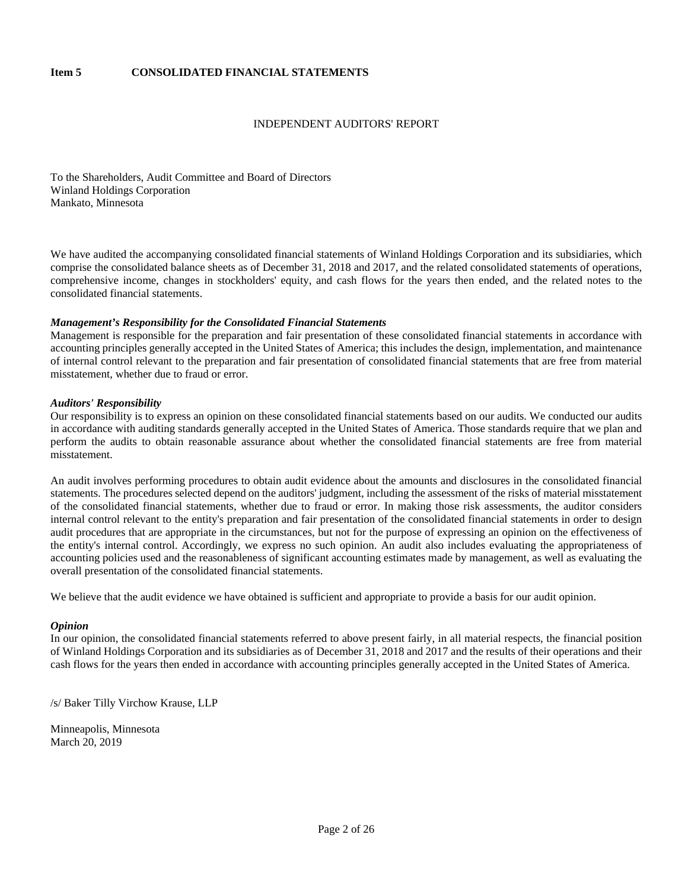## **Item 5 CONSOLIDATED FINANCIAL STATEMENTS**

### INDEPENDENT AUDITORS' REPORT

To the Shareholders, Audit Committee and Board of Directors Winland Holdings Corporation Mankato, Minnesota

We have audited the accompanying consolidated financial statements of Winland Holdings Corporation and its subsidiaries, which comprise the consolidated balance sheets as of December 31, 2018 and 2017, and the related consolidated statements of operations, comprehensive income, changes in stockholders' equity, and cash flows for the years then ended, and the related notes to the consolidated financial statements.

#### *Management's Responsibility for the Consolidated Financial Statements*

Management is responsible for the preparation and fair presentation of these consolidated financial statements in accordance with accounting principles generally accepted in the United States of America; this includes the design, implementation, and maintenance of internal control relevant to the preparation and fair presentation of consolidated financial statements that are free from material misstatement, whether due to fraud or error.

#### *Auditors' Responsibility*

Our responsibility is to express an opinion on these consolidated financial statements based on our audits. We conducted our audits in accordance with auditing standards generally accepted in the United States of America. Those standards require that we plan and perform the audits to obtain reasonable assurance about whether the consolidated financial statements are free from material misstatement.

An audit involves performing procedures to obtain audit evidence about the amounts and disclosures in the consolidated financial statements. The procedures selected depend on the auditors' judgment, including the assessment of the risks of material misstatement of the consolidated financial statements, whether due to fraud or error. In making those risk assessments, the auditor considers internal control relevant to the entity's preparation and fair presentation of the consolidated financial statements in order to design audit procedures that are appropriate in the circumstances, but not for the purpose of expressing an opinion on the effectiveness of the entity's internal control. Accordingly, we express no such opinion. An audit also includes evaluating the appropriateness of accounting policies used and the reasonableness of significant accounting estimates made by management, as well as evaluating the overall presentation of the consolidated financial statements.

We believe that the audit evidence we have obtained is sufficient and appropriate to provide a basis for our audit opinion.

#### *Opinion*

In our opinion, the consolidated financial statements referred to above present fairly, in all material respects, the financial position of Winland Holdings Corporation and its subsidiaries as of December 31, 2018 and 2017 and the results of their operations and their cash flows for the years then ended in accordance with accounting principles generally accepted in the United States of America.

/s/ Baker Tilly Virchow Krause, LLP

Minneapolis, Minnesota March 20, 2019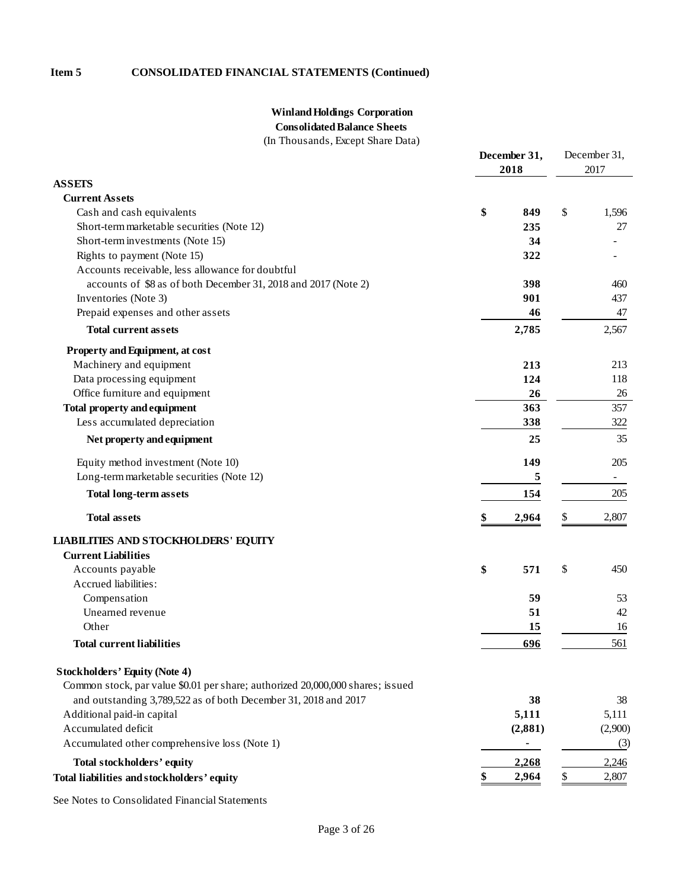## **Winland Holdings Corporation Consolidated Balance Sheets**

(In Thousands, Except Share Data)

|                                                                                |    | December 31,<br>2018 |    | December 31,<br>2017 |  |
|--------------------------------------------------------------------------------|----|----------------------|----|----------------------|--|
| <b>ASSETS</b>                                                                  |    |                      |    |                      |  |
| <b>Current Assets</b>                                                          |    |                      |    |                      |  |
| Cash and cash equivalents                                                      | \$ | 849                  | \$ | 1,596                |  |
| Short-term marketable securities (Note 12)                                     |    | 235                  |    | 27                   |  |
| Short-term investments (Note 15)                                               |    | 34                   |    |                      |  |
| Rights to payment (Note 15)                                                    |    | 322                  |    |                      |  |
| Accounts receivable, less allowance for doubtful                               |    |                      |    |                      |  |
| accounts of \$8 as of both December 31, 2018 and 2017 (Note 2)                 |    | 398                  |    | 460                  |  |
| Inventories (Note 3)                                                           |    | 901                  |    | 437                  |  |
| Prepaid expenses and other assets                                              |    | 46                   |    | 47                   |  |
| <b>Total current assets</b>                                                    |    | 2,785                |    | 2,567                |  |
| Property and Equipment, at cost                                                |    |                      |    |                      |  |
| Machinery and equipment                                                        |    | 213                  |    | 213                  |  |
| Data processing equipment                                                      |    | 124                  |    | 118                  |  |
| Office furniture and equipment                                                 |    | 26                   |    | 26                   |  |
| <b>Total property and equipment</b>                                            |    | 363                  |    | 357                  |  |
| Less accumulated depreciation                                                  |    | 338                  |    | 322                  |  |
| Net property and equipment                                                     |    | 25                   |    | 35                   |  |
| Equity method investment (Note 10)                                             |    | 149                  |    | 205                  |  |
| Long-term marketable securities (Note 12)                                      |    | 5                    |    |                      |  |
| <b>Total long-term assets</b>                                                  |    | 154                  |    | 205                  |  |
| <b>Total assets</b>                                                            |    | 2,964                | \$ | 2,807                |  |
| <b>LIABILITIES AND STOCKHOLDERS' EQUITY</b>                                    |    |                      |    |                      |  |
| <b>Current Liabilities</b>                                                     |    |                      |    |                      |  |
| Accounts payable                                                               | \$ | 571                  | \$ | 450                  |  |
| Accrued liabilities:                                                           |    |                      |    |                      |  |
| Compensation                                                                   |    | 59                   |    | 53                   |  |
| Unearned revenue                                                               |    | 51                   |    | 42                   |  |
| Other                                                                          |    | 15                   |    | 16                   |  |
| <b>Total current liabilities</b>                                               |    | 696                  |    | 561                  |  |
| <b>Stockholders' Equity (Note 4)</b>                                           |    |                      |    |                      |  |
| Common stock, par value \$0.01 per share; authorized 20,000,000 shares; issued |    |                      |    |                      |  |
| and outstanding 3,789,522 as of both December 31, 2018 and 2017                |    | 38                   |    | 38                   |  |
| Additional paid-in capital                                                     |    | 5,111                |    | 5,111                |  |
| Accumulated deficit                                                            |    | (2,881)              |    | (2,900)              |  |
| Accumulated other comprehensive loss (Note 1)                                  |    | ж.                   |    | (3)                  |  |
| <b>Total stockholders' equity</b>                                              |    | 2,268                |    | 2,246                |  |
| Total liabilities and stockholders' equity                                     |    | 2,964                | \$ | 2,807                |  |
|                                                                                |    |                      |    |                      |  |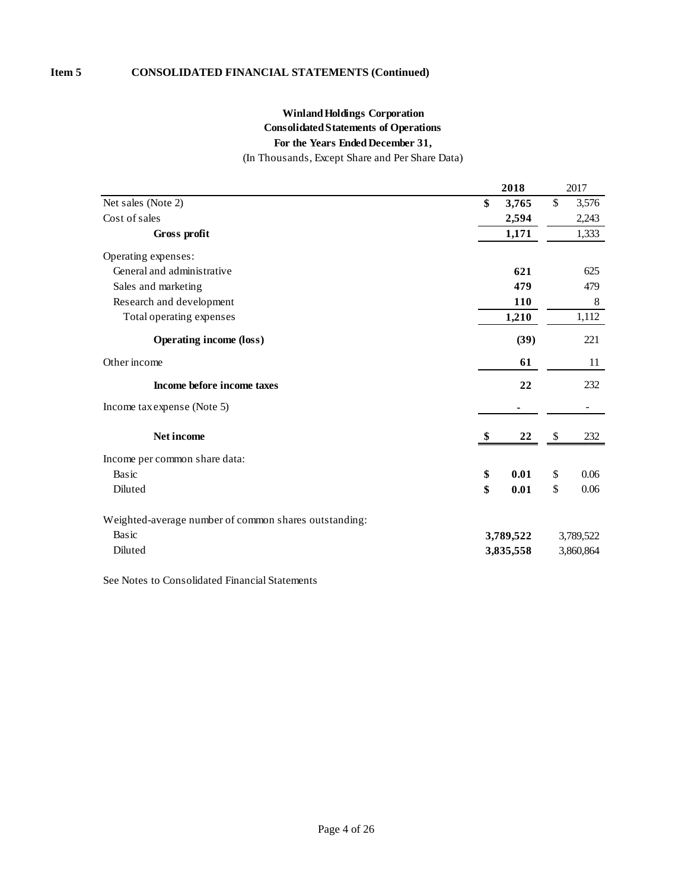## **Winland Holdings Corporation Consolidated Statements of Operations For the Years Ended December 31,**

(In Thousands, Except Share and Per Share Data)

|                                                       | 2018 |           | 2017 |           |
|-------------------------------------------------------|------|-----------|------|-----------|
| Net sales (Note 2)                                    | \$   | 3,765     | \$   | 3,576     |
| Cost of sales                                         |      | 2,594     |      | 2,243     |
| Gross profit                                          |      | 1,171     |      | 1,333     |
| Operating expenses:                                   |      |           |      |           |
| General and administrative                            |      | 621       |      | 625       |
| Sales and marketing                                   |      | 479       |      | 479       |
| Research and development                              |      | 110       |      | 8         |
| Total operating expenses                              |      | 1,210     |      | 1,112     |
| <b>Operating income (loss)</b>                        |      | (39)      |      | 221       |
| Other income                                          |      | 61        |      | 11        |
| Income before income taxes                            |      | 22        |      | 232       |
| Income tax expense (Note 5)                           |      |           |      |           |
| Net income                                            | -\$  | 22        | \$   | 232       |
| Income per common share data:                         |      |           |      |           |
| Basic                                                 | \$   | 0.01      | \$   | 0.06      |
| Diluted                                               | \$   | 0.01      | \$   | 0.06      |
| Weighted-average number of common shares outstanding: |      |           |      |           |
| Basic                                                 |      | 3,789,522 |      | 3,789,522 |
| Diluted                                               |      | 3,835,558 |      | 3,860,864 |
|                                                       |      |           |      |           |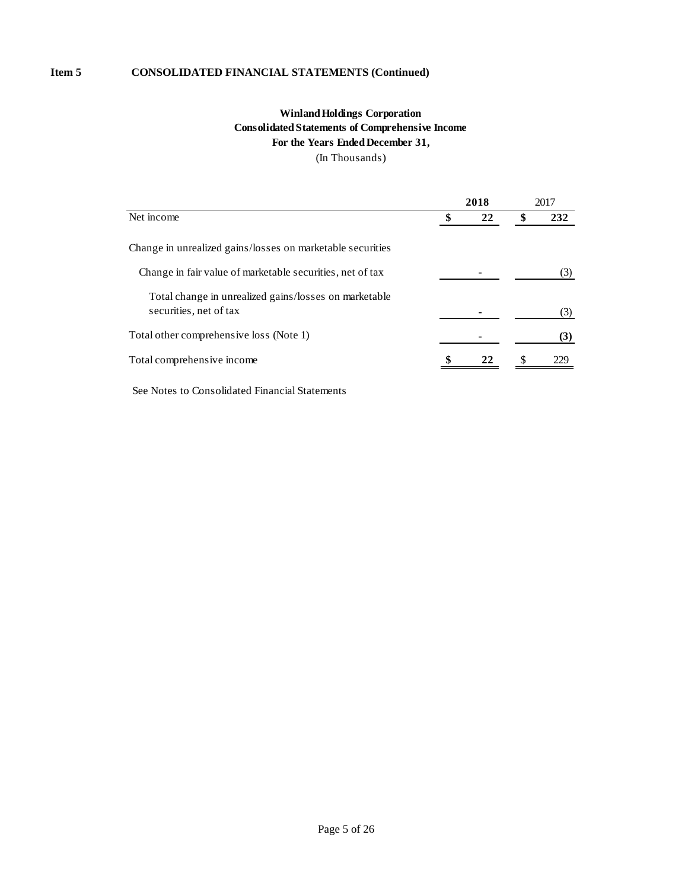## **For the Years Ended December 31,** (In Thousands) **Winland Holdings Corporation Consolidated Statements of Comprehensive Income**

|                                                                                 | 2018 | 2017      |
|---------------------------------------------------------------------------------|------|-----------|
| Net income                                                                      | 22   | \$<br>232 |
| Change in unrealized gains/losses on marketable securities                      |      |           |
| Change in fair value of marketable securities, net of tax                       |      | (3)       |
| Total change in unrealized gains/losses on marketable<br>securities, net of tax |      | (3)       |
| Total other comprehensive loss (Note 1)                                         |      | (3)       |
| Total comprehensive income                                                      |      | 229       |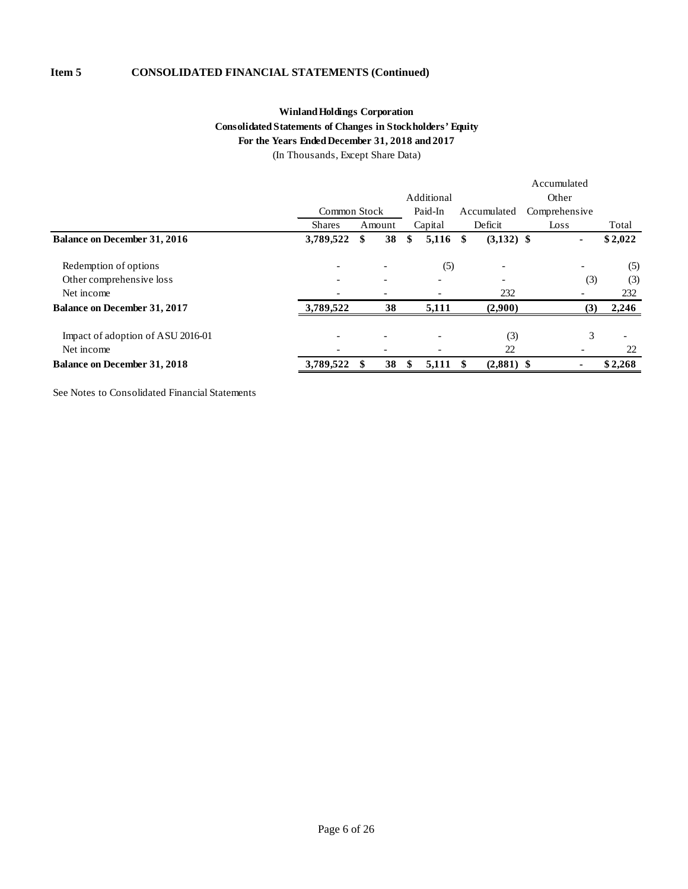## **Winland Holdings Corporation Consolidated Statements of Changes in Stockholders' Equity For the Years Ended December 31, 2018 and 2017** (In Thousands, Except Share Data)

|                                     |                          |        |                          |     |            |                          | Accumulated              |         |
|-------------------------------------|--------------------------|--------|--------------------------|-----|------------|--------------------------|--------------------------|---------|
|                                     |                          |        |                          |     | Additional |                          | Other                    |         |
|                                     | Common Stock             |        |                          |     | Paid-In    | Accumulated              | Comprehensive            |         |
|                                     | <b>Shares</b>            | Amount |                          |     | Capital    | Deficit                  | Loss                     | Total   |
| <b>Balance on December 31, 2016</b> | 3,789,522                | \$     | 38                       | \$  | 5,116      | S.<br>$(3,132)$ \$       | $\blacksquare$           | \$2,022 |
| Redemption of options               | $\overline{\phantom{a}}$ |        | $\overline{\phantom{a}}$ |     | (5)        | $\overline{\phantom{a}}$ | $\overline{\phantom{a}}$ | (5)     |
| Other comprehensive loss            | $\overline{\phantom{a}}$ |        | $\overline{\phantom{a}}$ |     |            | $\overline{\phantom{a}}$ | (3)                      | (3)     |
| Net income                          | $\overline{\phantom{a}}$ |        | $\overline{\phantom{a}}$ |     |            | 232                      |                          | 232     |
| <b>Balance on December 31, 2017</b> | 3,789,522                |        | 38                       |     | 5,111      | (2,900)                  | (3)                      | 2,246   |
| Impact of adoption of ASU 2016-01   | $\overline{\phantom{a}}$ |        | $\overline{a}$           |     |            | (3)                      | 3                        |         |
| Net income                          | $\overline{\phantom{a}}$ |        | $\overline{\phantom{a}}$ |     |            | 22                       |                          | 22      |
| <b>Balance on December 31, 2018</b> | 3,789,522                |        | 38                       | -\$ | 5,111      | $(2,881)$ \$             |                          | \$2,268 |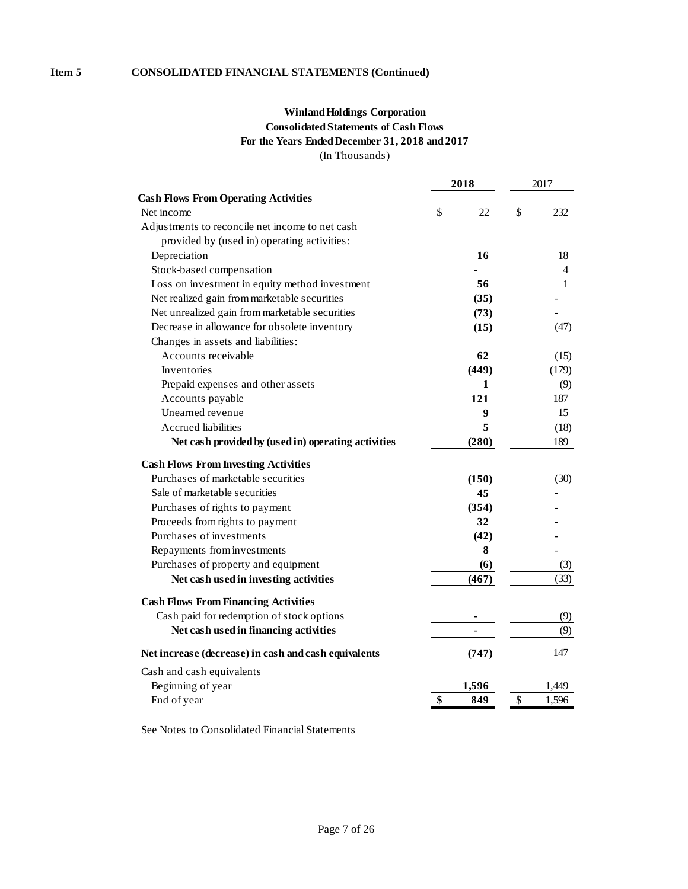## **Winland Holdings Corporation Consolidated Statements of Cash Flows** (In Thousands) **For the Years Ended December 31, 2018 and 2017**

|                                                      |    | 2018  | 2017        |  |
|------------------------------------------------------|----|-------|-------------|--|
| <b>Cash Flows From Operating Activities</b>          |    |       |             |  |
| Net income                                           | \$ | 22    | \$<br>232   |  |
| Adjustments to reconcile net income to net cash      |    |       |             |  |
| provided by (used in) operating activities:          |    |       |             |  |
| Depreciation                                         |    | 16    | 18          |  |
| Stock-based compensation                             |    |       | 4           |  |
| Loss on investment in equity method investment       |    | 56    | 1           |  |
| Net realized gain from marketable securities         |    | (35)  |             |  |
| Net unrealized gain from marketable securities       |    | (73)  |             |  |
| Decrease in allowance for obsolete inventory         |    | (15)  | (47)        |  |
| Changes in assets and liabilities:                   |    |       |             |  |
| Accounts receivable                                  |    | 62    | (15)        |  |
| Inventories                                          |    | (449) | (179)       |  |
| Prepaid expenses and other assets                    |    | 1     | (9)         |  |
| Accounts payable                                     |    | 121   | 187         |  |
| Unearned revenue                                     |    | 9     | 15          |  |
| <b>Accrued liabilities</b>                           |    | 5     | (18)        |  |
| Net cash provided by (used in) operating activities  |    | (280) | 189         |  |
| <b>Cash Flows From Investing Activities</b>          |    |       |             |  |
| Purchases of marketable securities                   |    | (150) | (30)        |  |
| Sale of marketable securities                        |    | 45    |             |  |
| Purchases of rights to payment                       |    | (354) |             |  |
| Proceeds from rights to payment                      |    | 32    |             |  |
| Purchases of investments                             |    | (42)  |             |  |
| Repayments from investments                          |    | 8     |             |  |
| Purchases of property and equipment                  |    | (6)   | (3)         |  |
| Net cash used in investing activities                |    | (467) | (33)        |  |
| <b>Cash Flows From Financing Activities</b>          |    |       |             |  |
| Cash paid for redemption of stock options            |    |       | (9)         |  |
| Net cash used in financing activities                |    |       | (9)         |  |
| Net increase (decrease) in cash and cash equivalents |    | (747) | 147         |  |
| Cash and cash equivalents                            |    |       |             |  |
| Beginning of year                                    |    | 1,596 | 1,449       |  |
| End of year                                          | \$ | 849   | \$<br>1,596 |  |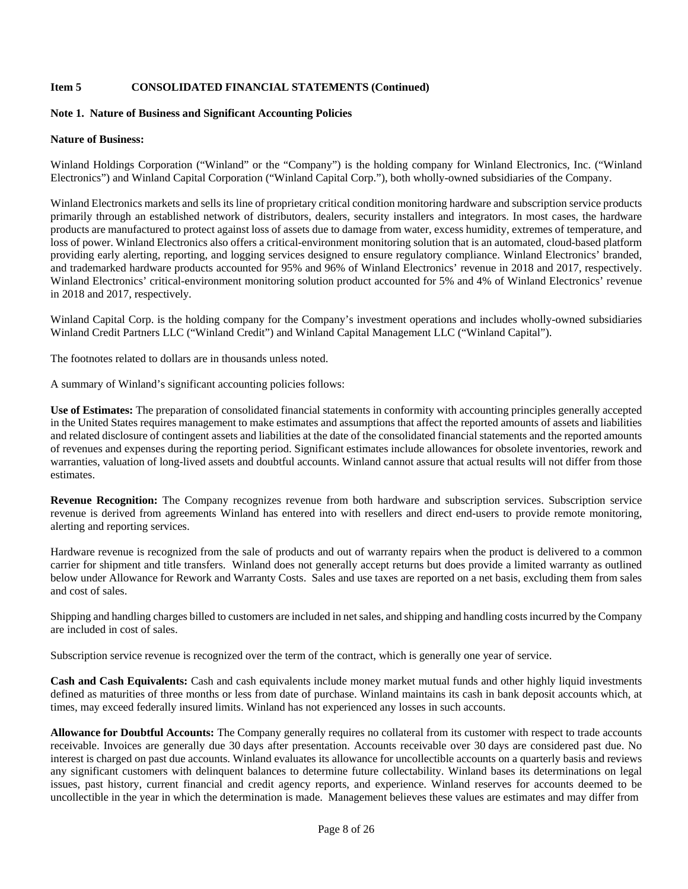## **Note 1. Nature of Business and Significant Accounting Policies**

#### **Nature of Business:**

Winland Holdings Corporation ("Winland" or the "Company") is the holding company for Winland Electronics, Inc. ("Winland Electronics") and Winland Capital Corporation ("Winland Capital Corp."), both wholly-owned subsidiaries of the Company.

Winland Electronics markets and sells its line of proprietary critical condition monitoring hardware and subscription service products primarily through an established network of distributors, dealers, security installers and integrators. In most cases, the hardware products are manufactured to protect against loss of assets due to damage from water, excess humidity, extremes of temperature, and loss of power. Winland Electronics also offers a critical-environment monitoring solution that is an automated, cloud-based platform providing early alerting, reporting, and logging services designed to ensure regulatory compliance. Winland Electronics' branded, and trademarked hardware products accounted for 95% and 96% of Winland Electronics' revenue in 2018 and 2017, respectively. Winland Electronics' critical-environment monitoring solution product accounted for 5% and 4% of Winland Electronics' revenue in 2018 and 2017, respectively.

Winland Capital Corp. is the holding company for the Company's investment operations and includes wholly-owned subsidiaries Winland Credit Partners LLC ("Winland Credit") and Winland Capital Management LLC ("Winland Capital").

The footnotes related to dollars are in thousands unless noted.

A summary of Winland's significant accounting policies follows:

**Use of Estimates:** The preparation of consolidated financial statements in conformity with accounting principles generally accepted in the United States requires management to make estimates and assumptions that affect the reported amounts of assets and liabilities and related disclosure of contingent assets and liabilities at the date of the consolidated financial statements and the reported amounts of revenues and expenses during the reporting period. Significant estimates include allowances for obsolete inventories, rework and warranties, valuation of long-lived assets and doubtful accounts. Winland cannot assure that actual results will not differ from those estimates.

**Revenue Recognition:** The Company recognizes revenue from both hardware and subscription services. Subscription service revenue is derived from agreements Winland has entered into with resellers and direct end-users to provide remote monitoring, alerting and reporting services.

Hardware revenue is recognized from the sale of products and out of warranty repairs when the product is delivered to a common carrier for shipment and title transfers. Winland does not generally accept returns but does provide a limited warranty as outlined below under Allowance for Rework and Warranty Costs. Sales and use taxes are reported on a net basis, excluding them from sales and cost of sales.

Shipping and handling charges billed to customers are included in net sales, and shipping and handling costs incurred by the Company are included in cost of sales.

Subscription service revenue is recognized over the term of the contract, which is generally one year of service.

**Cash and Cash Equivalents:** Cash and cash equivalents include money market mutual funds and other highly liquid investments defined as maturities of three months or less from date of purchase. Winland maintains its cash in bank deposit accounts which, at times, may exceed federally insured limits. Winland has not experienced any losses in such accounts.

**Allowance for Doubtful Accounts:** The Company generally requires no collateral from its customer with respect to trade accounts receivable. Invoices are generally due 30 days after presentation. Accounts receivable over 30 days are considered past due. No interest is charged on past due accounts. Winland evaluates its allowance for uncollectible accounts on a quarterly basis and reviews any significant customers with delinquent balances to determine future collectability. Winland bases its determinations on legal issues, past history, current financial and credit agency reports, and experience. Winland reserves for accounts deemed to be uncollectible in the year in which the determination is made. Management believes these values are estimates and may differ from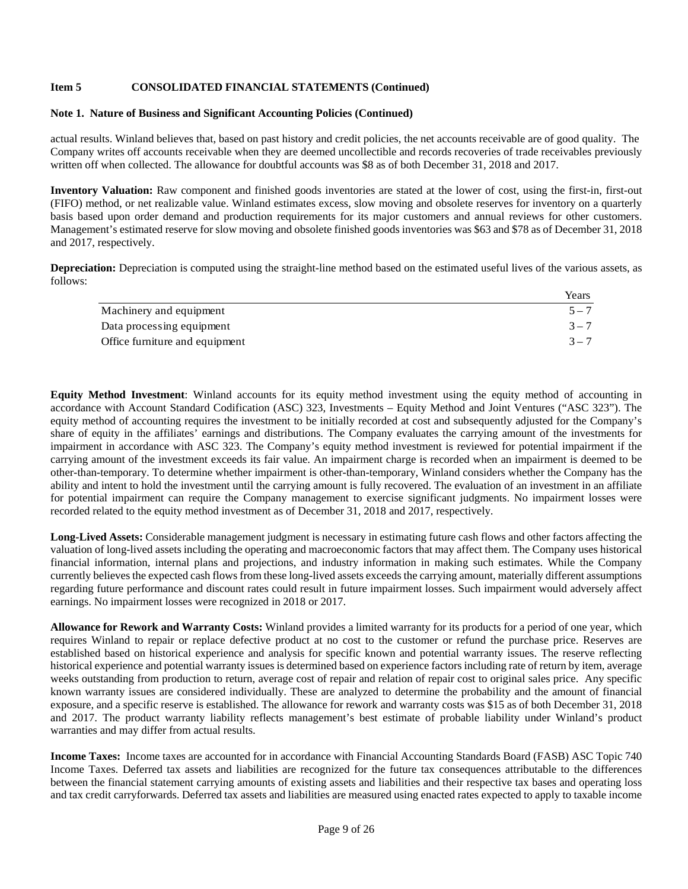#### **Note 1. Nature of Business and Significant Accounting Policies (Continued)**

actual results. Winland believes that, based on past history and credit policies, the net accounts receivable are of good quality. The Company writes off accounts receivable when they are deemed uncollectible and records recoveries of trade receivables previously written off when collected. The allowance for doubtful accounts was \$8 as of both December 31, 2018 and 2017.

**Inventory Valuation:** Raw component and finished goods inventories are stated at the lower of cost, using the first-in, first-out (FIFO) method, or net realizable value. Winland estimates excess, slow moving and obsolete reserves for inventory on a quarterly basis based upon order demand and production requirements for its major customers and annual reviews for other customers. Management's estimated reserve for slow moving and obsolete finished goods inventories was \$63 and \$78 as of December 31, 2018 and 2017, respectively.

**Depreciation:** Depreciation is computed using the straight-line method based on the estimated useful lives of the various assets, as follows:

|                                | Years   |
|--------------------------------|---------|
| Machinery and equipment        | $5 - 7$ |
| Data processing equipment      | $3 - 7$ |
| Office furniture and equipment | $3 - 7$ |

**Equity Method Investment**: Winland accounts for its equity method investment using the equity method of accounting in accordance with Account Standard Codification (ASC) 323, Investments – Equity Method and Joint Ventures ("ASC 323"). The equity method of accounting requires the investment to be initially recorded at cost and subsequently adjusted for the Company's share of equity in the affiliates' earnings and distributions. The Company evaluates the carrying amount of the investments for impairment in accordance with ASC 323. The Company's equity method investment is reviewed for potential impairment if the carrying amount of the investment exceeds its fair value. An impairment charge is recorded when an impairment is deemed to be other-than-temporary. To determine whether impairment is other-than-temporary, Winland considers whether the Company has the ability and intent to hold the investment until the carrying amount is fully recovered. The evaluation of an investment in an affiliate for potential impairment can require the Company management to exercise significant judgments. No impairment losses were recorded related to the equity method investment as of December 31, 2018 and 2017, respectively.

**Long-Lived Assets:** Considerable management judgment is necessary in estimating future cash flows and other factors affecting the valuation of long-lived assets including the operating and macroeconomic factors that may affect them. The Company uses historical financial information, internal plans and projections, and industry information in making such estimates. While the Company currently believes the expected cash flows from these long-lived assets exceeds the carrying amount, materially different assumptions regarding future performance and discount rates could result in future impairment losses. Such impairment would adversely affect earnings. No impairment losses were recognized in 2018 or 2017.

**Allowance for Rework and Warranty Costs:** Winland provides a limited warranty for its products for a period of one year, which requires Winland to repair or replace defective product at no cost to the customer or refund the purchase price. Reserves are established based on historical experience and analysis for specific known and potential warranty issues. The reserve reflecting historical experience and potential warranty issues is determined based on experience factors including rate of return by item, average weeks outstanding from production to return, average cost of repair and relation of repair cost to original sales price. Any specific known warranty issues are considered individually. These are analyzed to determine the probability and the amount of financial exposure, and a specific reserve is established. The allowance for rework and warranty costs was \$15 as of both December 31, 2018 and 2017. The product warranty liability reflects management's best estimate of probable liability under Winland's product warranties and may differ from actual results.

**Income Taxes:** Income taxes are accounted for in accordance with Financial Accounting Standards Board (FASB) ASC Topic 740 Income Taxes. Deferred tax assets and liabilities are recognized for the future tax consequences attributable to the differences between the financial statement carrying amounts of existing assets and liabilities and their respective tax bases and operating loss and tax credit carryforwards. Deferred tax assets and liabilities are measured using enacted rates expected to apply to taxable income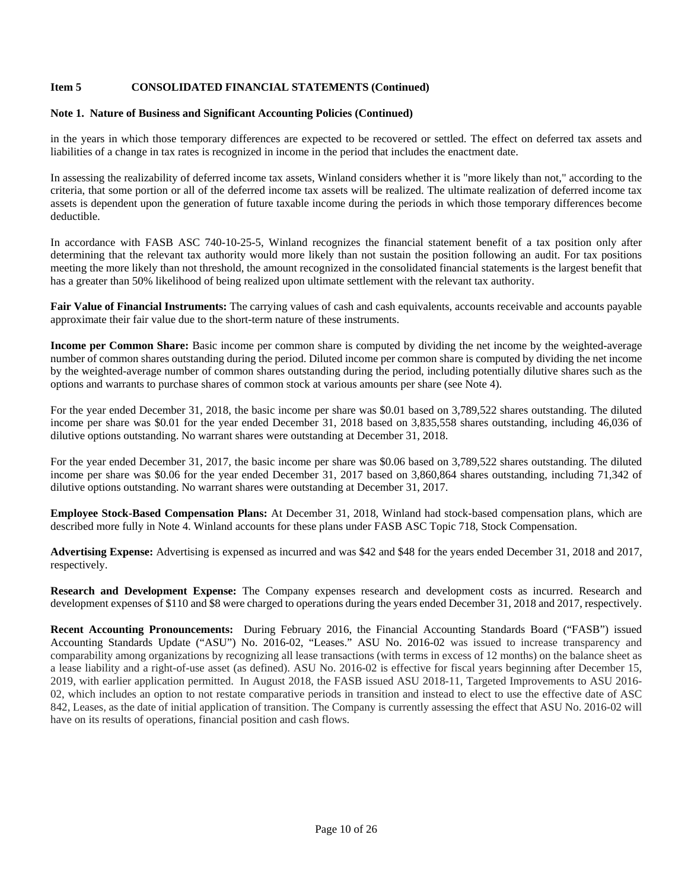#### **Note 1. Nature of Business and Significant Accounting Policies (Continued)**

in the years in which those temporary differences are expected to be recovered or settled. The effect on deferred tax assets and liabilities of a change in tax rates is recognized in income in the period that includes the enactment date.

In assessing the realizability of deferred income tax assets, Winland considers whether it is "more likely than not," according to the criteria, that some portion or all of the deferred income tax assets will be realized. The ultimate realization of deferred income tax assets is dependent upon the generation of future taxable income during the periods in which those temporary differences become deductible.

In accordance with FASB ASC 740-10-25-5, Winland recognizes the financial statement benefit of a tax position only after determining that the relevant tax authority would more likely than not sustain the position following an audit. For tax positions meeting the more likely than not threshold, the amount recognized in the consolidated financial statements is the largest benefit that has a greater than 50% likelihood of being realized upon ultimate settlement with the relevant tax authority.

**Fair Value of Financial Instruments:** The carrying values of cash and cash equivalents, accounts receivable and accounts payable approximate their fair value due to the short-term nature of these instruments.

**Income per Common Share:** Basic income per common share is computed by dividing the net income by the weighted-average number of common shares outstanding during the period. Diluted income per common share is computed by dividing the net income by the weighted-average number of common shares outstanding during the period, including potentially dilutive shares such as the options and warrants to purchase shares of common stock at various amounts per share (see Note 4).

For the year ended December 31, 2018, the basic income per share was \$0.01 based on 3,789,522 shares outstanding. The diluted income per share was \$0.01 for the year ended December 31, 2018 based on 3,835,558 shares outstanding, including 46,036 of dilutive options outstanding. No warrant shares were outstanding at December 31, 2018.

For the year ended December 31, 2017, the basic income per share was \$0.06 based on 3,789,522 shares outstanding. The diluted income per share was \$0.06 for the year ended December 31, 2017 based on 3,860,864 shares outstanding, including 71,342 of dilutive options outstanding. No warrant shares were outstanding at December 31, 2017.

**Employee Stock-Based Compensation Plans:** At December 31, 2018, Winland had stock-based compensation plans, which are described more fully in Note 4. Winland accounts for these plans under FASB ASC Topic 718, Stock Compensation.

**Advertising Expense:** Advertising is expensed as incurred and was \$42 and \$48 for the years ended December 31, 2018 and 2017, respectively.

**Research and Development Expense:** The Company expenses research and development costs as incurred. Research and development expenses of \$110 and \$8 were charged to operations during the years ended December 31, 2018 and 2017, respectively.

**Recent Accounting Pronouncements:** During February 2016, the Financial Accounting Standards Board ("FASB") issued Accounting Standards Update ("ASU") No. 2016-02, "Leases." ASU No. 2016-02 was issued to increase transparency and comparability among organizations by recognizing all lease transactions (with terms in excess of 12 months) on the balance sheet as a lease liability and a right-of-use asset (as defined). ASU No. 2016-02 is effective for fiscal years beginning after December 15, 2019, with earlier application permitted. In August 2018, the FASB issued ASU 2018-11, Targeted Improvements to ASU 2016- 02, which includes an option to not restate comparative periods in transition and instead to elect to use the effective date of ASC 842, Leases, as the date of initial application of transition. The Company is currently assessing the effect that ASU No. 2016-02 will have on its results of operations, financial position and cash flows.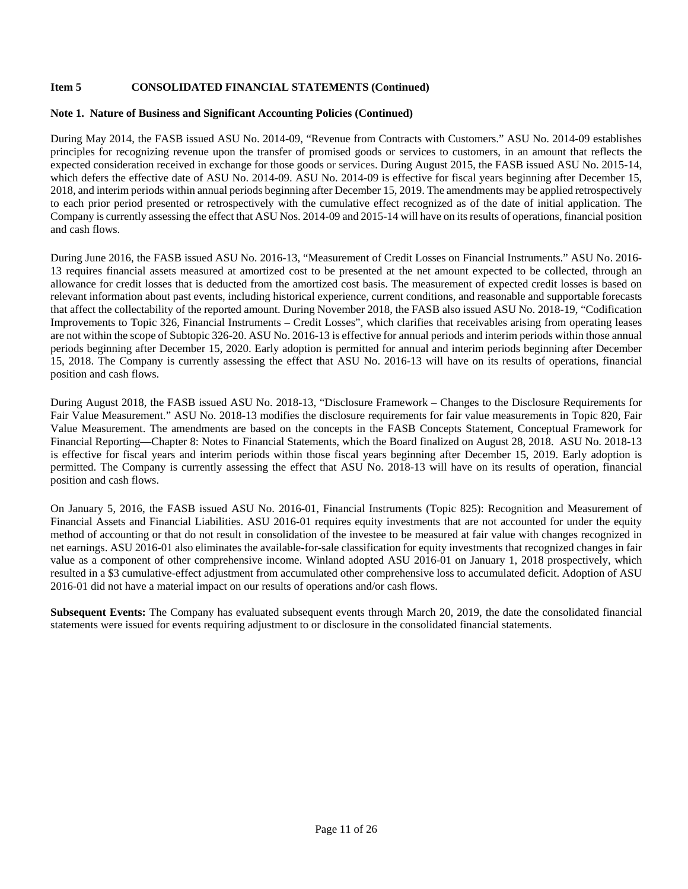#### **Note 1. Nature of Business and Significant Accounting Policies (Continued)**

During May 2014, the FASB issued ASU No. 2014-09, "Revenue from Contracts with Customers." ASU No. 2014-09 establishes principles for recognizing revenue upon the transfer of promised goods or services to customers, in an amount that reflects the expected consideration received in exchange for those goods or services. During August 2015, the FASB issued ASU No. 2015-14, which defers the effective date of ASU No. 2014-09. ASU No. 2014-09 is effective for fiscal years beginning after December 15, 2018, and interim periods within annual periods beginning after December 15, 2019. The amendments may be applied retrospectively to each prior period presented or retrospectively with the cumulative effect recognized as of the date of initial application. The Company is currently assessing the effect that ASU Nos. 2014-09 and 2015-14 will have on its results of operations, financial position and cash flows.

During June 2016, the FASB issued ASU No. 2016-13, "Measurement of Credit Losses on Financial Instruments." ASU No. 2016- 13 requires financial assets measured at amortized cost to be presented at the net amount expected to be collected, through an allowance for credit losses that is deducted from the amortized cost basis. The measurement of expected credit losses is based on relevant information about past events, including historical experience, current conditions, and reasonable and supportable forecasts that affect the collectability of the reported amount. During November 2018, the FASB also issued ASU No. 2018-19, "Codification Improvements to Topic 326, Financial Instruments – Credit Losses", which clarifies that receivables arising from operating leases are not within the scope of Subtopic 326-20. ASU No. 2016-13 is effective for annual periods and interim periods within those annual periods beginning after December 15, 2020. Early adoption is permitted for annual and interim periods beginning after December 15, 2018. The Company is currently assessing the effect that ASU No. 2016-13 will have on its results of operations, financial position and cash flows.

During August 2018, the FASB issued ASU No. 2018-13, "Disclosure Framework – Changes to the Disclosure Requirements for Fair Value Measurement." ASU No. 2018-13 modifies the disclosure requirements for fair value measurements in Topic 820, Fair Value Measurement. The amendments are based on the concepts in the FASB Concepts Statement, Conceptual Framework for Financial Reporting—Chapter 8: Notes to Financial Statements, which the Board finalized on August 28, 2018. ASU No. 2018-13 is effective for fiscal years and interim periods within those fiscal years beginning after December 15, 2019. Early adoption is permitted. The Company is currently assessing the effect that ASU No. 2018-13 will have on its results of operation, financial position and cash flows.

On January 5, 2016, the FASB issued ASU No. 2016-01, Financial Instruments (Topic 825): Recognition and Measurement of Financial Assets and Financial Liabilities. ASU 2016-01 requires equity investments that are not accounted for under the equity method of accounting or that do not result in consolidation of the investee to be measured at fair value with changes recognized in net earnings. ASU 2016-01 also eliminates the available-for-sale classification for equity investments that recognized changes in fair value as a component of other comprehensive income. Winland adopted ASU 2016-01 on January 1, 2018 prospectively, which resulted in a \$3 cumulative-effect adjustment from accumulated other comprehensive loss to accumulated deficit. Adoption of ASU 2016-01 did not have a material impact on our results of operations and/or cash flows.

**Subsequent Events:** The Company has evaluated subsequent events through March 20, 2019, the date the consolidated financial statements were issued for events requiring adjustment to or disclosure in the consolidated financial statements.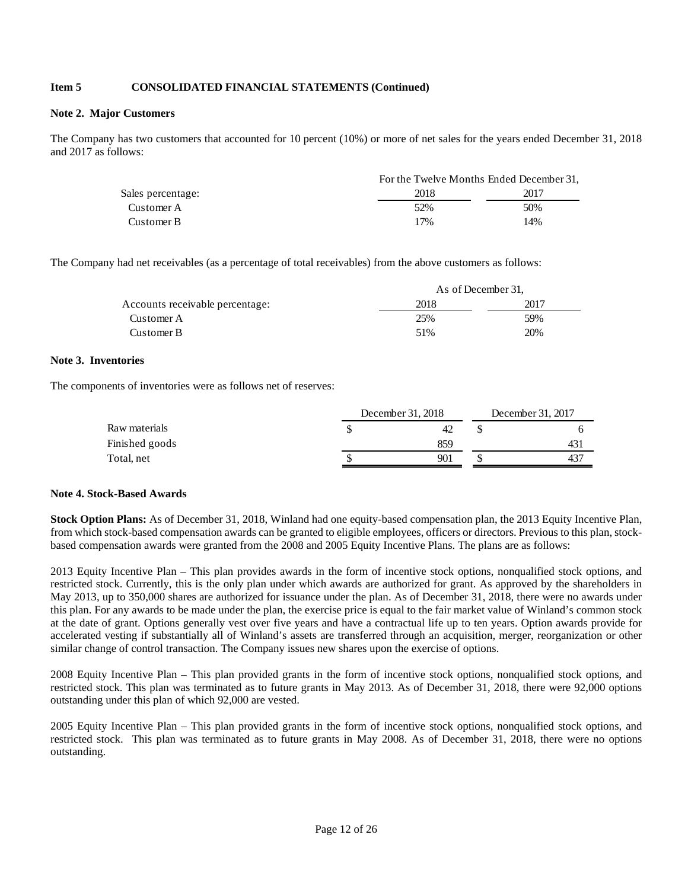### **Note 2. Major Customers**

The Company has two customers that accounted for 10 percent (10%) or more of net sales for the years ended December 31, 2018 and 2017 as follows:

|                   | For the Twelve Months Ended December 31, |      |
|-------------------|------------------------------------------|------|
| Sales percentage: | 2018                                     | 2017 |
| Customer A        | 52%                                      | 50%  |
| Customer B        | 17%                                      | 14%  |

The Company had net receivables (as a percentage of total receivables) from the above customers as follows:

|                                 | As of December 31, |      |
|---------------------------------|--------------------|------|
| Accounts receivable percentage: | 2018               | 2017 |
| Customer A                      | 25%                | 59%  |
| Customer B                      | 51%                | 20%  |

### **Note 3. Inventories**

The components of inventories were as follows net of reserves:

|                | December 31, 2018 |     | December 31, 2017 |     |  |
|----------------|-------------------|-----|-------------------|-----|--|
| Raw materials  |                   | 42  |                   |     |  |
| Finished goods |                   | 859 |                   | 43. |  |
| Total, net     |                   | 901 |                   | 437 |  |

## **Note 4. Stock-Based Awards**

**Stock Option Plans:** As of December 31, 2018, Winland had one equity-based compensation plan, the 2013 Equity Incentive Plan, from which stock-based compensation awards can be granted to eligible employees, officers or directors. Previous to this plan, stockbased compensation awards were granted from the 2008 and 2005 Equity Incentive Plans. The plans are as follows:

2013 Equity Incentive Plan – This plan provides awards in the form of incentive stock options, nonqualified stock options, and restricted stock. Currently, this is the only plan under which awards are authorized for grant. As approved by the shareholders in May 2013, up to 350,000 shares are authorized for issuance under the plan. As of December 31, 2018, there were no awards under this plan. For any awards to be made under the plan, the exercise price is equal to the fair market value of Winland's common stock at the date of grant. Options generally vest over five years and have a contractual life up to ten years. Option awards provide for accelerated vesting if substantially all of Winland's assets are transferred through an acquisition, merger, reorganization or other similar change of control transaction. The Company issues new shares upon the exercise of options.

2008 Equity Incentive Plan – This plan provided grants in the form of incentive stock options, nonqualified stock options, and restricted stock. This plan was terminated as to future grants in May 2013. As of December 31, 2018, there were 92,000 options outstanding under this plan of which 92,000 are vested.

2005 Equity Incentive Plan – This plan provided grants in the form of incentive stock options, nonqualified stock options, and restricted stock. This plan was terminated as to future grants in May 2008. As of December 31, 2018, there were no options outstanding.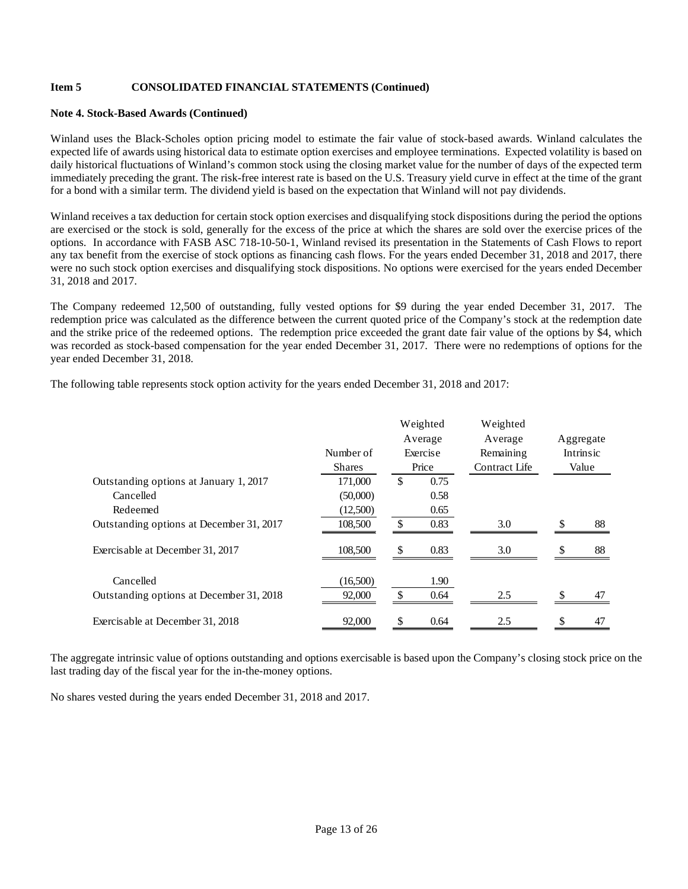#### **Note 4. Stock-Based Awards (Continued)**

Winland uses the Black-Scholes option pricing model to estimate the fair value of stock-based awards. Winland calculates the expected life of awards using historical data to estimate option exercises and employee terminations. Expected volatility is based on daily historical fluctuations of Winland's common stock using the closing market value for the number of days of the expected term immediately preceding the grant. The risk-free interest rate is based on the U.S. Treasury yield curve in effect at the time of the grant for a bond with a similar term. The dividend yield is based on the expectation that Winland will not pay dividends.

Winland receives a tax deduction for certain stock option exercises and disqualifying stock dispositions during the period the options are exercised or the stock is sold, generally for the excess of the price at which the shares are sold over the exercise prices of the options. In accordance with FASB ASC 718-10-50-1, Winland revised its presentation in the Statements of Cash Flows to report any tax benefit from the exercise of stock options as financing cash flows. For the years ended December 31, 2018 and 2017, there were no such stock option exercises and disqualifying stock dispositions. No options were exercised for the years ended December 31, 2018 and 2017.

The Company redeemed 12,500 of outstanding, fully vested options for \$9 during the year ended December 31, 2017. The redemption price was calculated as the difference between the current quoted price of the Company's stock at the redemption date and the strike price of the redeemed options. The redemption price exceeded the grant date fair value of the options by \$4, which was recorded as stock-based compensation for the year ended December 31, 2017. There were no redemptions of options for the year ended December 31, 2018.

The following table represents stock option activity for the years ended December 31, 2018 and 2017:

|                                          | Number of<br><b>Shares</b> | Weighted<br>Average<br>Exercise<br>Price |      | Weighted<br>Average<br>Remaining<br><b>Contract Life</b> |   | Aggregate<br>Intrinsic<br>Value |
|------------------------------------------|----------------------------|------------------------------------------|------|----------------------------------------------------------|---|---------------------------------|
| Outstanding options at January 1, 2017   | 171,000                    | \$                                       | 0.75 |                                                          |   |                                 |
| Cancelled                                | (50,000)                   |                                          | 0.58 |                                                          |   |                                 |
| Redeemed                                 | (12,500)                   |                                          | 0.65 |                                                          |   |                                 |
| Outstanding options at December 31, 2017 | 108,500                    | \$                                       | 0.83 | 3.0                                                      | S | 88                              |
| Exercisable at December 31, 2017         | 108,500                    | \$                                       | 0.83 | 3.0                                                      |   | 88                              |
| Cancelled                                | (16,500)                   |                                          | 1.90 |                                                          |   |                                 |
| Outstanding options at December 31, 2018 | 92,000                     | \$                                       | 0.64 | 2.5                                                      |   | 47                              |
| Exercisable at December 31, 2018         | 92,000                     | \$                                       | 0.64 | 2.5                                                      |   | 47                              |

The aggregate intrinsic value of options outstanding and options exercisable is based upon the Company's closing stock price on the last trading day of the fiscal year for the in-the-money options.

No shares vested during the years ended December 31, 2018 and 2017.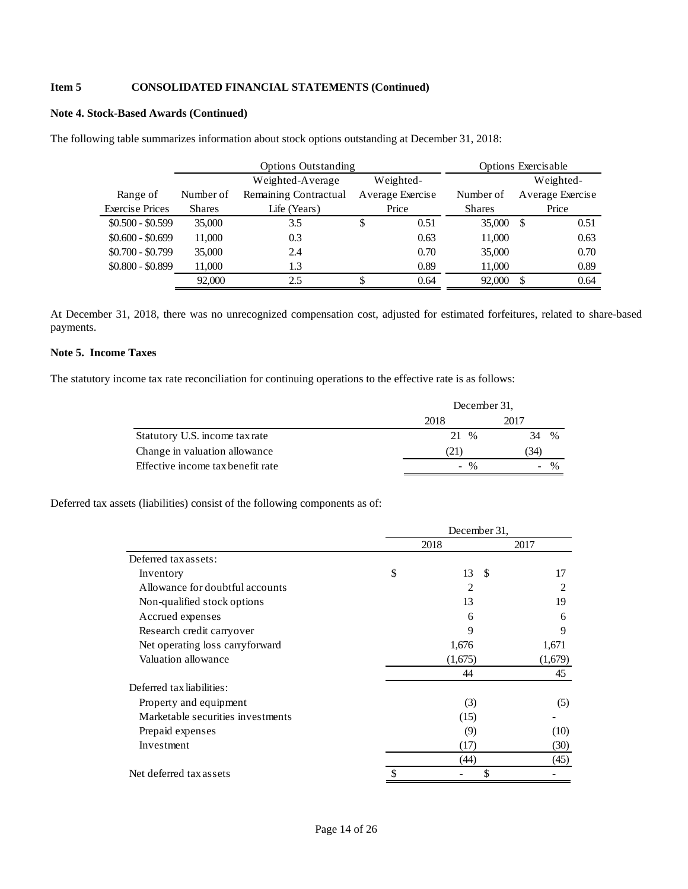### **Note 4. Stock-Based Awards (Continued)**

|                        |               | <b>Options Outstanding</b>    | <b>Options Exercisable</b> |                  |               |           |                  |
|------------------------|---------------|-------------------------------|----------------------------|------------------|---------------|-----------|------------------|
|                        |               | Weighted-Average<br>Weighted- |                            |                  |               | Weighted- |                  |
| Range of               | Number of     | Remaining Contractual         |                            | Average Exercise | Number of     |           | Average Exercise |
| <b>Exercise Prices</b> | <b>Shares</b> | Life (Years)                  | Price                      |                  | <b>Shares</b> |           | Price            |
| $$0.500 - $0.599$      | 35,000        | 3.5                           |                            | 0.51             | 35,000        | -\$       | 0.51             |
| $$0.600 - $0.699$      | 11,000        | 0.3                           |                            | 0.63             | 11,000        |           | 0.63             |
| $$0.700 - $0.799$      | 35,000        | 2.4                           | 0.70                       |                  | 35,000        |           | 0.70             |
| $$0.800 - $0.899$      | 11,000        | 1.3                           |                            | 0.89             | 11,000        |           | 0.89             |
|                        | 92,000        | 2.5                           |                            | 0.64             | 92,000        | \$.       | 0.64             |

The following table summarizes information about stock options outstanding at December 31, 2018:

At December 31, 2018, there was no unrecognized compensation cost, adjusted for estimated forfeitures, related to share-based payments.

#### **Note 5. Income Taxes**

The statutory income tax rate reconciliation for continuing operations to the effective rate is as follows:

|                                   | December 31. |                             |  |  |
|-----------------------------------|--------------|-----------------------------|--|--|
|                                   | 2018         | 2017                        |  |  |
| Statutory U.S. income tax rate    | 21           | 34<br>$\%$<br>$\frac{0}{6}$ |  |  |
| Change in valuation allowance     | (21)         | (34)                        |  |  |
| Effective income tax benefit rate | $-$ %        |                             |  |  |

Deferred tax assets (liabilities) consist of the following components as of:

|                                   | December 31. |                |         |  |  |
|-----------------------------------|--------------|----------------|---------|--|--|
|                                   |              | 2018           | 2017    |  |  |
| Deferred tax assets:              |              |                |         |  |  |
| Inventory                         | \$           | 13<br>- \$     | 17      |  |  |
| Allowance for doubtful accounts   |              | $\overline{c}$ | 2       |  |  |
| Non-qualified stock options       |              | 13             | 19      |  |  |
| Accrued expenses                  |              | 6              | 6       |  |  |
| Research credit carryover         |              | 9              | 9       |  |  |
| Net operating loss carryforward   |              | 1,676          | 1,671   |  |  |
| Valuation allowance               |              | (1,675)        | (1,679) |  |  |
|                                   |              | 44             | 45      |  |  |
| Deferred tax liabilities:         |              |                |         |  |  |
| Property and equipment            |              | (3)            | (5)     |  |  |
| Marketable securities investments |              | (15)           |         |  |  |
| Prepaid expenses                  |              | (9)            | (10)    |  |  |
| Investment                        |              | (17)           | (30)    |  |  |
|                                   |              | (44)           | (45)    |  |  |
| Net deferred tax assets           |              | \$             |         |  |  |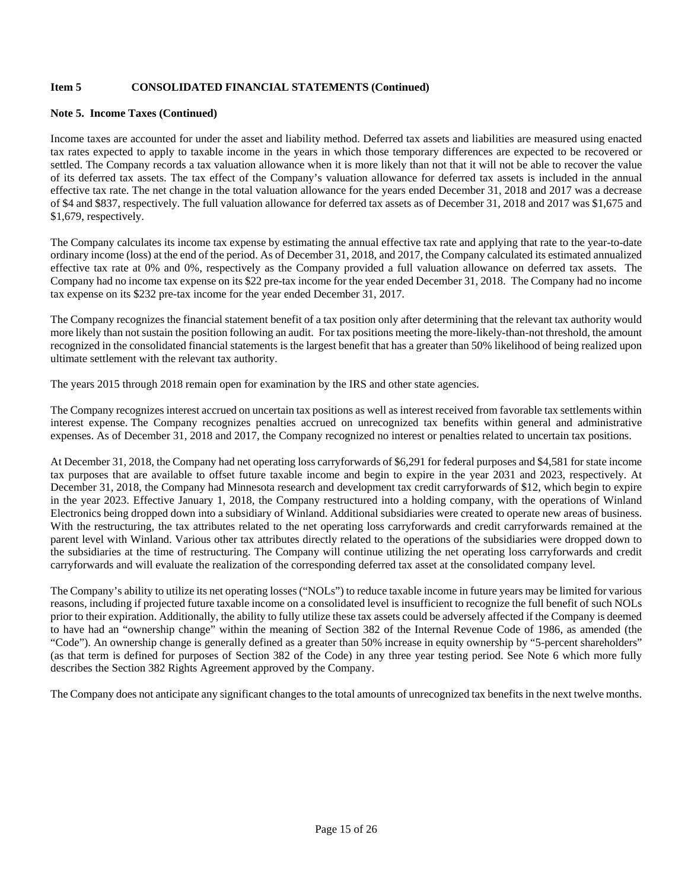## **Note 5. Income Taxes (Continued)**

Income taxes are accounted for under the asset and liability method. Deferred tax assets and liabilities are measured using enacted tax rates expected to apply to taxable income in the years in which those temporary differences are expected to be recovered or settled. The Company records a tax valuation allowance when it is more likely than not that it will not be able to recover the value of its deferred tax assets. The tax effect of the Company's valuation allowance for deferred tax assets is included in the annual effective tax rate. The net change in the total valuation allowance for the years ended December 31, 2018 and 2017 was a decrease of \$4 and \$837, respectively. The full valuation allowance for deferred tax assets as of December 31, 2018 and 2017 was \$1,675 and \$1,679, respectively.

The Company calculates its income tax expense by estimating the annual effective tax rate and applying that rate to the year-to-date ordinary income (loss) at the end of the period. As of December 31, 2018, and 2017, the Company calculated its estimated annualized effective tax rate at 0% and 0%, respectively as the Company provided a full valuation allowance on deferred tax assets. The Company had no income tax expense on its \$22 pre-tax income for the year ended December 31, 2018. The Company had no income tax expense on its \$232 pre-tax income for the year ended December 31, 2017.

The Company recognizes the financial statement benefit of a tax position only after determining that the relevant tax authority would more likely than not sustain the position following an audit. For tax positions meeting the more-likely-than-not threshold, the amount recognized in the consolidated financial statements is the largest benefit that has a greater than 50% likelihood of being realized upon ultimate settlement with the relevant tax authority.

The years 2015 through 2018 remain open for examination by the IRS and other state agencies.

The Company recognizes interest accrued on uncertain tax positions as well as interest received from favorable tax settlements within interest expense. The Company recognizes penalties accrued on unrecognized tax benefits within general and administrative expenses. As of December 31, 2018 and 2017, the Company recognized no interest or penalties related to uncertain tax positions.

At December 31, 2018, the Company had net operating loss carryforwards of \$6,291 for federal purposes and \$4,581 for state income tax purposes that are available to offset future taxable income and begin to expire in the year 2031 and 2023, respectively. At December 31, 2018, the Company had Minnesota research and development tax credit carryforwards of \$12, which begin to expire in the year 2023. Effective January 1, 2018, the Company restructured into a holding company, with the operations of Winland Electronics being dropped down into a subsidiary of Winland. Additional subsidiaries were created to operate new areas of business. With the restructuring, the tax attributes related to the net operating loss carryforwards and credit carryforwards remained at the parent level with Winland. Various other tax attributes directly related to the operations of the subsidiaries were dropped down to the subsidiaries at the time of restructuring. The Company will continue utilizing the net operating loss carryforwards and credit carryforwards and will evaluate the realization of the corresponding deferred tax asset at the consolidated company level.

The Company's ability to utilize its net operating losses ("NOLs") to reduce taxable income in future years may be limited for various reasons, including if projected future taxable income on a consolidated level is insufficient to recognize the full benefit of such NOLs prior to their expiration. Additionally, the ability to fully utilize these tax assets could be adversely affected if the Company is deemed to have had an "ownership change" within the meaning of Section 382 of the Internal Revenue Code of 1986, as amended (the "Code"). An ownership change is generally defined as a greater than 50% increase in equity ownership by "5-percent shareholders" (as that term is defined for purposes of Section 382 of the Code) in any three year testing period. See Note 6 which more fully describes the Section 382 Rights Agreement approved by the Company.

The Company does not anticipate any significant changes to the total amounts of unrecognized tax benefits in the next twelve months.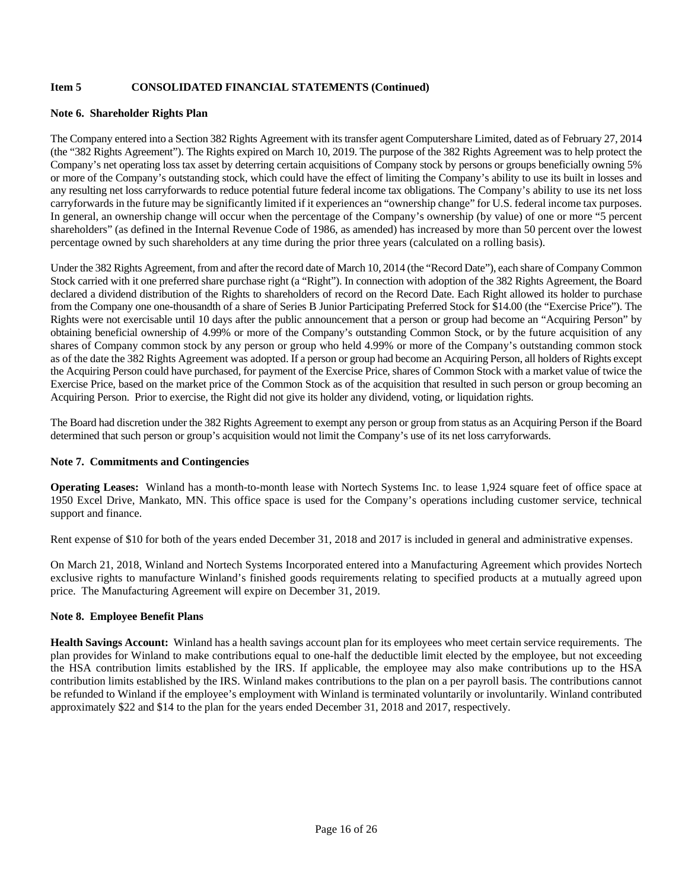### **Note 6. Shareholder Rights Plan**

The Company entered into a Section 382 Rights Agreement with its transfer agent Computershare Limited, dated as of February 27, 2014 (the "382 Rights Agreement"). The Rights expired on March 10, 2019. The purpose of the 382 Rights Agreement was to help protect the Company's net operating loss tax asset by deterring certain acquisitions of Company stock by persons or groups beneficially owning 5% or more of the Company's outstanding stock, which could have the effect of limiting the Company's ability to use its built in losses and any resulting net loss carryforwards to reduce potential future federal income tax obligations. The Company's ability to use its net loss carryforwards in the future may be significantly limited if it experiences an "ownership change" for U.S. federal income tax purposes. In general, an ownership change will occur when the percentage of the Company's ownership (by value) of one or more "5 percent shareholders" (as defined in the Internal Revenue Code of 1986, as amended) has increased by more than 50 percent over the lowest percentage owned by such shareholders at any time during the prior three years (calculated on a rolling basis).

Under the 382 Rights Agreement, from and after the record date of March 10, 2014 (the "Record Date"), each share of Company Common Stock carried with it one preferred share purchase right (a "Right"). In connection with adoption of the 382 Rights Agreement, the Board declared a dividend distribution of the Rights to shareholders of record on the Record Date. Each Right allowed its holder to purchase from the Company one one-thousandth of a share of Series B Junior Participating Preferred Stock for \$14.00 (the "Exercise Price"). The Rights were not exercisable until 10 days after the public announcement that a person or group had become an "Acquiring Person" by obtaining beneficial ownership of 4.99% or more of the Company's outstanding Common Stock, or by the future acquisition of any shares of Company common stock by any person or group who held 4.99% or more of the Company's outstanding common stock as of the date the 382 Rights Agreement was adopted. If a person or group had become an Acquiring Person, all holders of Rights except the Acquiring Person could have purchased, for payment of the Exercise Price, shares of Common Stock with a market value of twice the Exercise Price, based on the market price of the Common Stock as of the acquisition that resulted in such person or group becoming an Acquiring Person. Prior to exercise, the Right did not give its holder any dividend, voting, or liquidation rights.

The Board had discretion under the 382 Rights Agreement to exempt any person or group from status as an Acquiring Person if the Board determined that such person or group's acquisition would not limit the Company's use of its net loss carryforwards.

#### **Note 7. Commitments and Contingencies**

**Operating Leases:** Winland has a month-to-month lease with Nortech Systems Inc. to lease 1,924 square feet of office space at 1950 Excel Drive, Mankato, MN. This office space is used for the Company's operations including customer service, technical support and finance.

Rent expense of \$10 for both of the years ended December 31, 2018 and 2017 is included in general and administrative expenses.

On March 21, 2018, Winland and Nortech Systems Incorporated entered into a Manufacturing Agreement which provides Nortech exclusive rights to manufacture Winland's finished goods requirements relating to specified products at a mutually agreed upon price. The Manufacturing Agreement will expire on December 31, 2019.

## **Note 8. Employee Benefit Plans**

**Health Savings Account:** Winland has a health savings account plan for its employees who meet certain service requirements. The plan provides for Winland to make contributions equal to one-half the deductible limit elected by the employee, but not exceeding the HSA contribution limits established by the IRS. If applicable, the employee may also make contributions up to the HSA contribution limits established by the IRS. Winland makes contributions to the plan on a per payroll basis. The contributions cannot be refunded to Winland if the employee's employment with Winland is terminated voluntarily or involuntarily. Winland contributed approximately \$22 and \$14 to the plan for the years ended December 31, 2018 and 2017, respectively.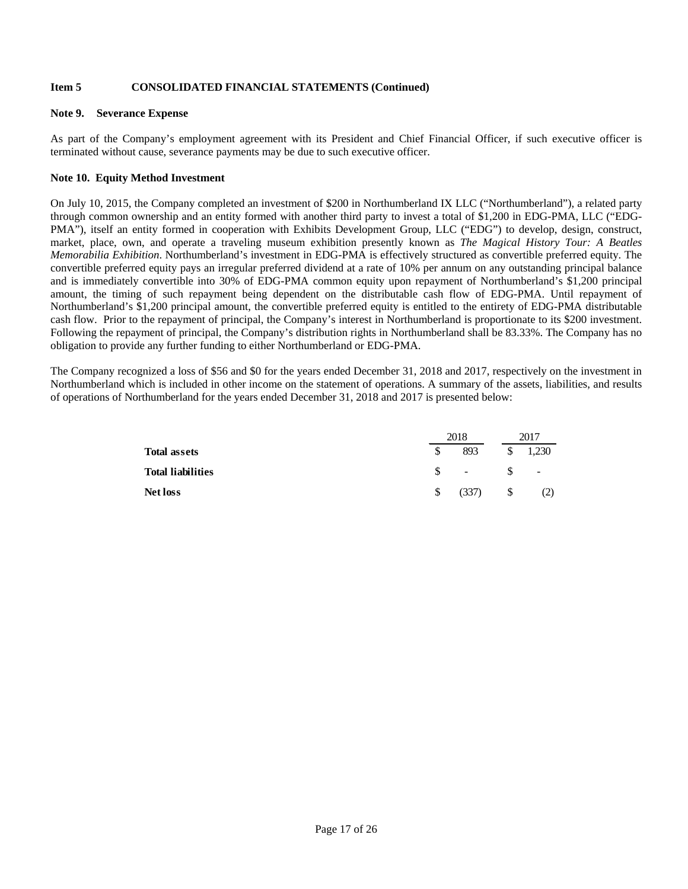## **Note 9. Severance Expense**

As part of the Company's employment agreement with its President and Chief Financial Officer, if such executive officer is terminated without cause, severance payments may be due to such executive officer.

### **Note 10. Equity Method Investment**

On July 10, 2015, the Company completed an investment of \$200 in Northumberland IX LLC ("Northumberland"), a related party through common ownership and an entity formed with another third party to invest a total of \$1,200 in EDG-PMA, LLC ("EDG-PMA"), itself an entity formed in cooperation with Exhibits Development Group, LLC ("EDG") to develop, design, construct, market, place, own, and operate a traveling museum exhibition presently known as *The Magical History Tour: A Beatles Memorabilia Exhibition*. Northumberland's investment in EDG-PMA is effectively structured as convertible preferred equity. The convertible preferred equity pays an irregular preferred dividend at a rate of 10% per annum on any outstanding principal balance and is immediately convertible into 30% of EDG-PMA common equity upon repayment of Northumberland's \$1,200 principal amount, the timing of such repayment being dependent on the distributable cash flow of EDG-PMA. Until repayment of Northumberland's \$1,200 principal amount, the convertible preferred equity is entitled to the entirety of EDG-PMA distributable cash flow. Prior to the repayment of principal, the Company's interest in Northumberland is proportionate to its \$200 investment. Following the repayment of principal, the Company's distribution rights in Northumberland shall be 83.33%. The Company has no obligation to provide any further funding to either Northumberland or EDG-PMA.

The Company recognized a loss of \$56 and \$0 for the years ended December 31, 2018 and 2017, respectively on the investment in Northumberland which is included in other income on the statement of operations. A summary of the assets, liabilities, and results of operations of Northumberland for the years ended December 31, 2018 and 2017 is presented below:

|                          |     | 2018   |     | 2017                     |  |  |
|--------------------------|-----|--------|-----|--------------------------|--|--|
| <b>Total assets</b>      | S   | 893    | \$. | 1.230                    |  |  |
| <b>Total liabilities</b> | \$. | $\sim$ | -SS | $\overline{\phantom{a}}$ |  |  |
| <b>Net loss</b>          | S   | (337)  | \$  | (2)                      |  |  |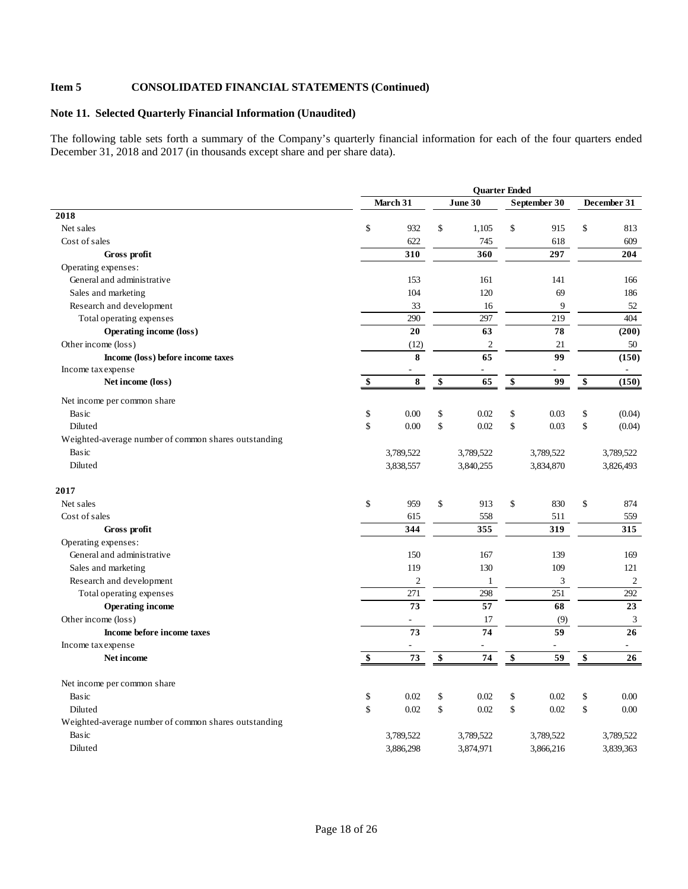#### **Note 11. Selected Quarterly Financial Information (Unaudited)**

The following table sets forth a summary of the Company's quarterly financial information for each of the four quarters ended December 31, 2018 and 2017 (in thousands except share and per share data).

|                                                      |             | <b>Quarter Ended</b>    |              |                 |              |              |              |                |
|------------------------------------------------------|-------------|-------------------------|--------------|-----------------|--------------|--------------|--------------|----------------|
|                                                      |             | March 31                |              | June 30         |              | September 30 |              | December 31    |
| 2018                                                 |             |                         |              |                 |              |              |              |                |
| Net sales                                            | \$          | 932                     | \$           | 1,105           | $\mathbb{S}$ | 915          | \$           | 813            |
| Cost of sales                                        |             | 622                     |              | 745             |              | 618          |              | 609            |
| Gross profit                                         |             | 310                     |              | 360             |              | 297          |              | 204            |
| Operating expenses:                                  |             |                         |              |                 |              |              |              |                |
| General and administrative                           |             | 153                     |              | 161             |              | 141          |              | 166            |
| Sales and marketing                                  |             | 104                     |              | 120             |              | 69           |              | 186            |
| Research and development                             |             | 33                      |              | 16              |              | 9            |              | 52             |
| Total operating expenses                             |             | 290                     |              | 297             |              | 219          |              | 404            |
| <b>Operating income (loss)</b>                       |             | 20                      |              | 63              |              | 78           |              | (200)          |
| Other income (loss)                                  |             | (12)                    |              | $\mathbf{2}$    |              | 21           |              | 50             |
| Income (loss) before income taxes                    |             | $\overline{\mathbf{8}}$ |              | $\overline{65}$ |              | 99           |              | (150)          |
| Income tax expense                                   |             |                         |              |                 |              |              |              | ÷.             |
| Net income (loss)                                    | \$          | 8                       | \$           | 65              | \$           | 99           | \$           | (150)          |
| Net income per common share                          |             |                         |              |                 |              |              |              |                |
| Basic                                                | \$          | 0.00                    | \$           | 0.02            | $\mathbb{S}$ | 0.03         | \$           | (0.04)         |
| Diluted                                              | \$          | 0.00                    | \$           | 0.02            | \$           | 0.03         | \$           | (0.04)         |
| Weighted-average number of common shares outstanding |             |                         |              |                 |              |              |              |                |
| Basic                                                |             | 3,789,522               |              | 3,789,522       |              | 3,789,522    |              | 3,789,522      |
| Diluted                                              |             | 3,838,557               |              | 3,840,255       |              | 3,834,870    |              | 3,826,493      |
| 2017                                                 |             |                         |              |                 |              |              |              |                |
| Net sales                                            | \$          | 959                     | \$           | 913             | \$           | 830          | \$           | 874            |
| Cost of sales                                        |             | 615                     |              | 558             |              | 511          |              | 559            |
| Gross profit                                         |             | 344                     |              | 355             |              | 319          |              | 315            |
| Operating expenses:                                  |             |                         |              |                 |              |              |              |                |
| General and administrative                           |             | 150                     |              | 167             |              | 139          |              | 169            |
| Sales and marketing                                  |             | 119                     |              | 130             |              | 109          |              | 121            |
| Research and development                             |             | $\mathbf{2}$            |              | $\mathbf{1}$    |              | 3            |              | $\mathbf{2}$   |
| Total operating expenses                             |             | 271                     |              | 298             |              | 251          |              | 292            |
| <b>Operating income</b>                              |             | 73                      |              | 57              |              | 68           |              | 23             |
| Other income (loss)                                  |             |                         |              | 17              |              | (9)          |              | $\mathfrak{Z}$ |
| Income before income taxes                           |             | 73                      |              | 74              |              | 59           |              | 26             |
| Income tax expense                                   |             |                         |              |                 |              | ÷            |              | ÷,             |
| Net income                                           | \$          | 73                      | \$           | 74              | \$           | 59           | \$           | 26             |
| Net income per common share                          |             |                         |              |                 |              |              |              |                |
| Basic                                                | \$          | 0.02                    | \$           | 0.02            | \$           | 0.02         | \$           | 0.00           |
| Diluted                                              | $\mathbf S$ | 0.02                    | $\mathbb{S}$ | 0.02            | \$           | 0.02         | $\mathbb{S}$ | 0.00           |
| Weighted-average number of common shares outstanding |             |                         |              |                 |              |              |              |                |
| Basic                                                |             | 3,789,522               |              | 3,789,522       |              | 3,789,522    |              | 3,789,522      |
| Diluted                                              |             | 3,886,298               |              | 3,874,971       |              | 3,866,216    |              | 3,839,363      |
|                                                      |             |                         |              |                 |              |              |              |                |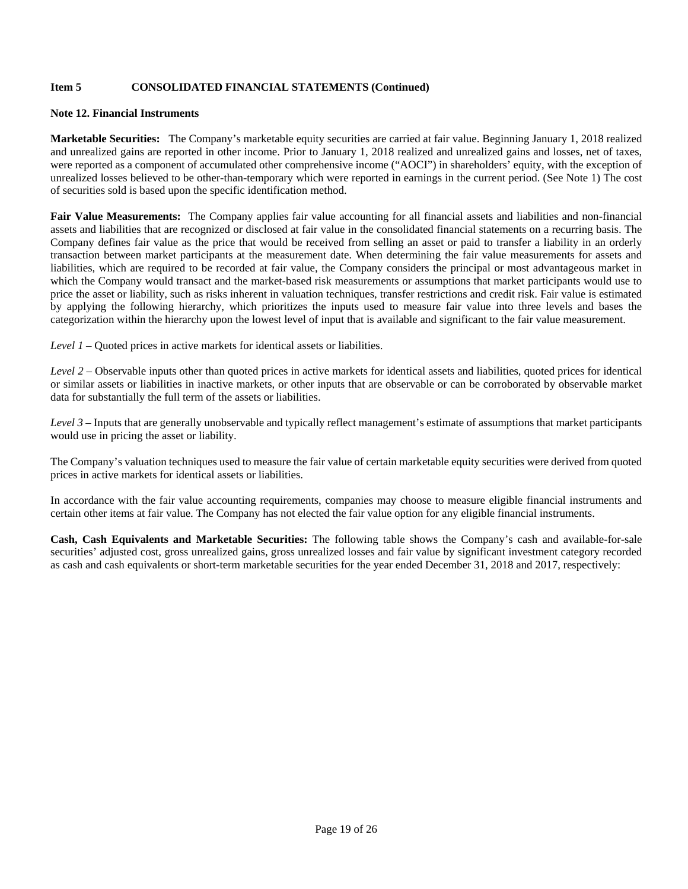### **Note 12. Financial Instruments**

**Marketable Securities:** The Company's marketable equity securities are carried at fair value. Beginning January 1, 2018 realized and unrealized gains are reported in other income. Prior to January 1, 2018 realized and unrealized gains and losses, net of taxes, were reported as a component of accumulated other comprehensive income ("AOCI") in shareholders' equity, with the exception of unrealized losses believed to be other-than-temporary which were reported in earnings in the current period. (See Note 1) The cost of securities sold is based upon the specific identification method.

**Fair Value Measurements:** The Company applies fair value accounting for all financial assets and liabilities and non-financial assets and liabilities that are recognized or disclosed at fair value in the consolidated financial statements on a recurring basis. The Company defines fair value as the price that would be received from selling an asset or paid to transfer a liability in an orderly transaction between market participants at the measurement date. When determining the fair value measurements for assets and liabilities, which are required to be recorded at fair value, the Company considers the principal or most advantageous market in which the Company would transact and the market-based risk measurements or assumptions that market participants would use to price the asset or liability, such as risks inherent in valuation techniques, transfer restrictions and credit risk. Fair value is estimated by applying the following hierarchy, which prioritizes the inputs used to measure fair value into three levels and bases the categorization within the hierarchy upon the lowest level of input that is available and significant to the fair value measurement.

*Level 1* – Quoted prices in active markets for identical assets or liabilities.

*Level 2* – Observable inputs other than quoted prices in active markets for identical assets and liabilities, quoted prices for identical or similar assets or liabilities in inactive markets, or other inputs that are observable or can be corroborated by observable market data for substantially the full term of the assets or liabilities.

*Level 3* – Inputs that are generally unobservable and typically reflect management's estimate of assumptions that market participants would use in pricing the asset or liability.

The Company's valuation techniques used to measure the fair value of certain marketable equity securities were derived from quoted prices in active markets for identical assets or liabilities.

In accordance with the fair value accounting requirements, companies may choose to measure eligible financial instruments and certain other items at fair value. The Company has not elected the fair value option for any eligible financial instruments.

**Cash, Cash Equivalents and Marketable Securities:** The following table shows the Company's cash and available-for-sale securities' adjusted cost, gross unrealized gains, gross unrealized losses and fair value by significant investment category recorded as cash and cash equivalents or short-term marketable securities for the year ended December 31, 2018 and 2017, respectively: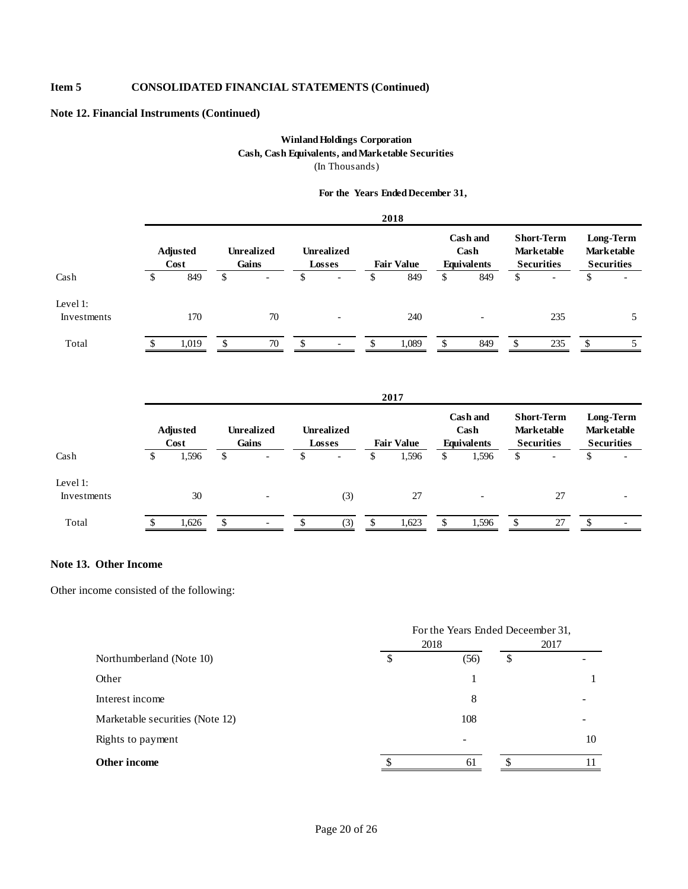#### **Note 12. Financial Instruments (Continued)**

## **Winland Holdings Corporation Cash, Cash Equivalents, and Marketable Securities** (In Thousands)

#### **For the Years Ended December 31,**

|             |                         |    |                          |                             | 2018              |                                        |                                                             |                                                     |
|-------------|-------------------------|----|--------------------------|-----------------------------|-------------------|----------------------------------------|-------------------------------------------------------------|-----------------------------------------------------|
|             | <b>Adjusted</b><br>Cost |    | Unrealized<br>Gains      | <b>Unrealized</b><br>Losses | <b>Fair Value</b> | Cash and<br>Cash<br><b>Equivalents</b> | <b>Short-Term</b><br><b>Marketable</b><br><b>Securities</b> | Long-Term<br><b>Marketable</b><br><b>Securities</b> |
| Cash        | \$<br>849               | \$ | $\overline{\phantom{0}}$ | $\overline{\phantom{a}}$    | \$<br>849         | \$<br>849                              | \$<br>$\qquad \qquad \blacksquare$                          | \$<br>$\overline{\phantom{a}}$                      |
| Level 1:    |                         |    |                          |                             |                   |                                        |                                                             |                                                     |
| Investments | 170                     |    | 70                       | $\overline{\phantom{a}}$    | 240               | $\overline{\phantom{a}}$               | 235                                                         |                                                     |
| Total       | 1,019                   | S  | 70                       | $\overline{\phantom{a}}$    | 1,089             | 849                                    | 235                                                         |                                                     |

|             |                         |                                |   |                             | 2017              |                                        |    |                                                             |   |                                                     |
|-------------|-------------------------|--------------------------------|---|-----------------------------|-------------------|----------------------------------------|----|-------------------------------------------------------------|---|-----------------------------------------------------|
|             | <b>Adjusted</b><br>Cost | <b>Unrealized</b><br>Gains     |   | <b>Unrealized</b><br>Losses | <b>Fair Value</b> | Cash and<br>Cash<br><b>Equivalents</b> |    | <b>Short-Term</b><br><b>Marketable</b><br><b>Securities</b> |   | Long-Term<br><b>Marketable</b><br><b>Securities</b> |
| Cash        | \$<br>1,596             | \$<br>$\overline{\phantom{a}}$ | Φ | $\overline{\phantom{a}}$    | \$<br>1,596       | \$<br>1,596                            | \$ | $\overline{\phantom{0}}$                                    | Φ | $\overline{\phantom{0}}$                            |
| Level 1:    |                         |                                |   |                             |                   |                                        |    |                                                             |   |                                                     |
| Investments | 30                      | $\overline{\phantom{0}}$       |   | (3)                         | 27                | $\overline{\phantom{a}}$               |    | 27                                                          |   |                                                     |
| Total       | 1,626                   | $\overline{\phantom{a}}$       |   | (3)                         | 1,623             | 1.596                                  | £. | 27                                                          |   |                                                     |

## **Note 13. Other Income**

Other income consisted of the following:

| For the Years Ended Deceember 31, |      |      |      |  |  |  |  |
|-----------------------------------|------|------|------|--|--|--|--|
|                                   |      |      | 2017 |  |  |  |  |
| S                                 | (56) | \$   |      |  |  |  |  |
|                                   |      |      |      |  |  |  |  |
|                                   | 8    |      |      |  |  |  |  |
|                                   | 108  |      |      |  |  |  |  |
|                                   | ٠    |      | 10   |  |  |  |  |
|                                   | 61   |      |      |  |  |  |  |
|                                   |      | 2018 |      |  |  |  |  |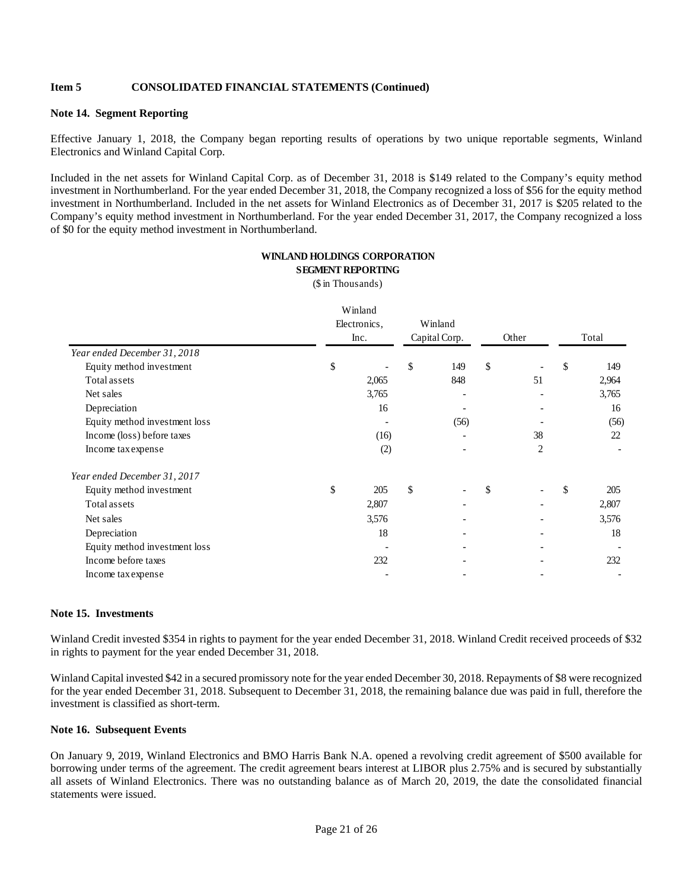## **Note 14. Segment Reporting**

Effective January 1, 2018, the Company began reporting results of operations by two unique reportable segments, Winland Electronics and Winland Capital Corp.

Included in the net assets for Winland Capital Corp. as of December 31, 2018 is \$149 related to the Company's equity method investment in Northumberland. For the year ended December 31, 2018, the Company recognized a loss of \$56 for the equity method investment in Northumberland. Included in the net assets for Winland Electronics as of December 31, 2017 is \$205 related to the Company's equity method investment in Northumberland. For the year ended December 31, 2017, the Company recognized a loss of \$0 for the equity method investment in Northumberland.

## **WINLAND HOLDINGS CORPORATION SEGMENT REPORTING**

(\$ in Thousands)

|                               | Winland<br>Electronics,<br>Inc. |       | Winland                  |       |    |                          |
|-------------------------------|---------------------------------|-------|--------------------------|-------|----|--------------------------|
|                               |                                 |       | Capital Corp.            | Other |    | Total                    |
| Year ended December 31, 2018  |                                 |       |                          |       |    |                          |
| Equity method investment      | \$                              |       | \$<br>149                | \$    |    | \$<br>149                |
| Total assets                  |                                 | 2,065 | 848                      |       | 51 | 2,964                    |
| Net sales                     |                                 | 3,765 | $\overline{\phantom{0}}$ |       |    | 3,765                    |
| Depreciation                  |                                 | 16    |                          |       |    | 16                       |
| Equity method investment loss |                                 |       | (56)                     |       |    | (56)                     |
| Income (loss) before taxes    |                                 | (16)  |                          |       | 38 | 22                       |
| Income tax expense            |                                 | (2)   |                          |       | 2  | $\overline{\phantom{0}}$ |
| Year ended December 31, 2017  |                                 |       |                          |       |    |                          |
| Equity method investment      | \$                              | 205   | \$                       | \$    |    | \$<br>205                |
| Total assets                  |                                 | 2,807 |                          |       |    | 2,807                    |
| Net sales                     |                                 | 3,576 |                          |       |    | 3,576                    |
| Depreciation                  |                                 | 18    |                          |       |    | 18                       |
| Equity method investment loss |                                 |       |                          |       |    |                          |
| Income before taxes           |                                 | 232   |                          |       |    | 232                      |
| Income tax expense            |                                 |       |                          |       |    |                          |

#### **Note 15. Investments**

Winland Credit invested \$354 in rights to payment for the year ended December 31, 2018. Winland Credit received proceeds of \$32 in rights to payment for the year ended December 31, 2018.

Winland Capital invested \$42 in a secured promissory note for the year ended December 30, 2018. Repayments of \$8 were recognized for the year ended December 31, 2018. Subsequent to December 31, 2018, the remaining balance due was paid in full, therefore the investment is classified as short-term.

## **Note 16. Subsequent Events**

On January 9, 2019, Winland Electronics and BMO Harris Bank N.A. opened a revolving credit agreement of \$500 available for borrowing under terms of the agreement. The credit agreement bears interest at LIBOR plus 2.75% and is secured by substantially all assets of Winland Electronics. There was no outstanding balance as of March 20, 2019, the date the consolidated financial statements were issued.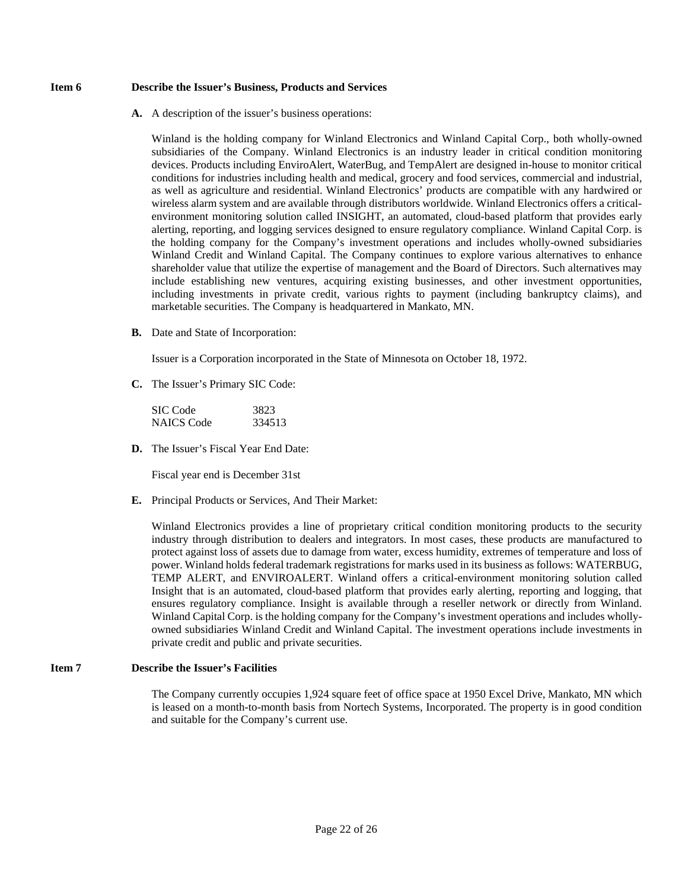#### **Item 6 Describe the Issuer's Business, Products and Services**

**A.** A description of the issuer's business operations:

Winland is the holding company for Winland Electronics and Winland Capital Corp., both wholly-owned subsidiaries of the Company. Winland Electronics is an industry leader in critical condition monitoring devices. Products including EnviroAlert, WaterBug, and TempAlert are designed in-house to monitor critical conditions for industries including health and medical, grocery and food services, commercial and industrial, as well as agriculture and residential. Winland Electronics' products are compatible with any hardwired or wireless alarm system and are available through distributors worldwide. Winland Electronics offers a criticalenvironment monitoring solution called INSIGHT, an automated, cloud-based platform that provides early alerting, reporting, and logging services designed to ensure regulatory compliance. Winland Capital Corp. is the holding company for the Company's investment operations and includes wholly-owned subsidiaries Winland Credit and Winland Capital. The Company continues to explore various alternatives to enhance shareholder value that utilize the expertise of management and the Board of Directors. Such alternatives may include establishing new ventures, acquiring existing businesses, and other investment opportunities, including investments in private credit, various rights to payment (including bankruptcy claims), and marketable securities. The Company is headquartered in Mankato, MN.

**B.** Date and State of Incorporation:

Issuer is a Corporation incorporated in the State of Minnesota on October 18, 1972.

**C.** The Issuer's Primary SIC Code:

| SIC Code          | 3823   |
|-------------------|--------|
| <b>NAICS</b> Code | 334513 |

**D.** The Issuer's Fiscal Year End Date:

Fiscal year end is December 31st

**E.** Principal Products or Services, And Their Market:

Winland Electronics provides a line of proprietary critical condition monitoring products to the security industry through distribution to dealers and integrators. In most cases, these products are manufactured to protect against loss of assets due to damage from water, excess humidity, extremes of temperature and loss of power. Winland holds federal trademark registrations for marks used in its business as follows: WATERBUG, TEMP ALERT, and ENVIROALERT. Winland offers a critical-environment monitoring solution called Insight that is an automated, cloud-based platform that provides early alerting, reporting and logging, that ensures regulatory compliance. Insight is available through a reseller network or directly from Winland. Winland Capital Corp. is the holding company for the Company's investment operations and includes whollyowned subsidiaries Winland Credit and Winland Capital. The investment operations include investments in private credit and public and private securities.

#### **Item 7 Describe the Issuer's Facilities**

The Company currently occupies 1,924 square feet of office space at 1950 Excel Drive, Mankato, MN which is leased on a month-to-month basis from Nortech Systems, Incorporated. The property is in good condition and suitable for the Company's current use.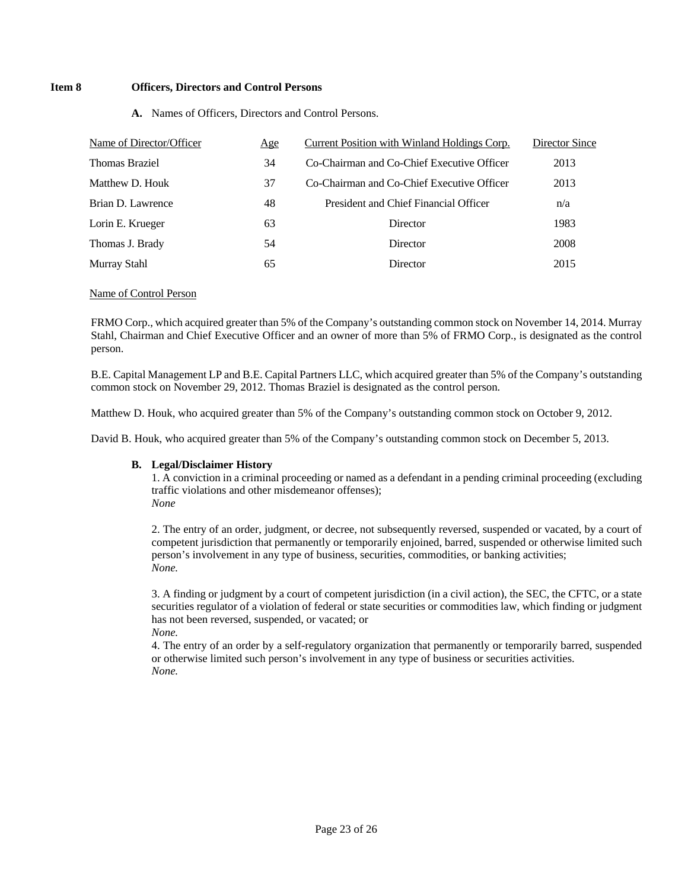## **Item 8 Officers, Directors and Control Persons**

| Age | <b>Current Position with Winland Holdings Corp.</b> | Director Since |
|-----|-----------------------------------------------------|----------------|
| 34  | Co-Chairman and Co-Chief Executive Officer          | 2013           |
| 37  | Co-Chairman and Co-Chief Executive Officer          | 2013           |
| 48  | President and Chief Financial Officer               | n/a            |
| 63  | Director                                            | 1983           |
| 54  | Director                                            | 2008           |
| 65  | Director                                            | 2015           |
|     |                                                     |                |

**A.** Names of Officers, Directors and Control Persons.

#### Name of Control Person

FRMO Corp., which acquired greater than 5% of the Company's outstanding common stock on November 14, 2014. Murray Stahl, Chairman and Chief Executive Officer and an owner of more than 5% of FRMO Corp., is designated as the control person.

B.E. Capital Management LP and B.E. Capital Partners LLC, which acquired greater than 5% of the Company's outstanding common stock on November 29, 2012. Thomas Braziel is designated as the control person.

Matthew D. Houk, who acquired greater than 5% of the Company's outstanding common stock on October 9, 2012.

David B. Houk, who acquired greater than 5% of the Company's outstanding common stock on December 5, 2013.

## **B. Legal/Disclaimer History**

1. A conviction in a criminal proceeding or named as a defendant in a pending criminal proceeding (excluding traffic violations and other misdemeanor offenses); *None* 

2. The entry of an order, judgment, or decree, not subsequently reversed, suspended or vacated, by a court of competent jurisdiction that permanently or temporarily enjoined, barred, suspended or otherwise limited such person's involvement in any type of business, securities, commodities, or banking activities; *None.* 

3. A finding or judgment by a court of competent jurisdiction (in a civil action), the SEC, the CFTC, or a state securities regulator of a violation of federal or state securities or commodities law, which finding or judgment has not been reversed, suspended, or vacated; or *None.* 

4. The entry of an order by a self-regulatory organization that permanently or temporarily barred, suspended or otherwise limited such person's involvement in any type of business or securities activities. *None.*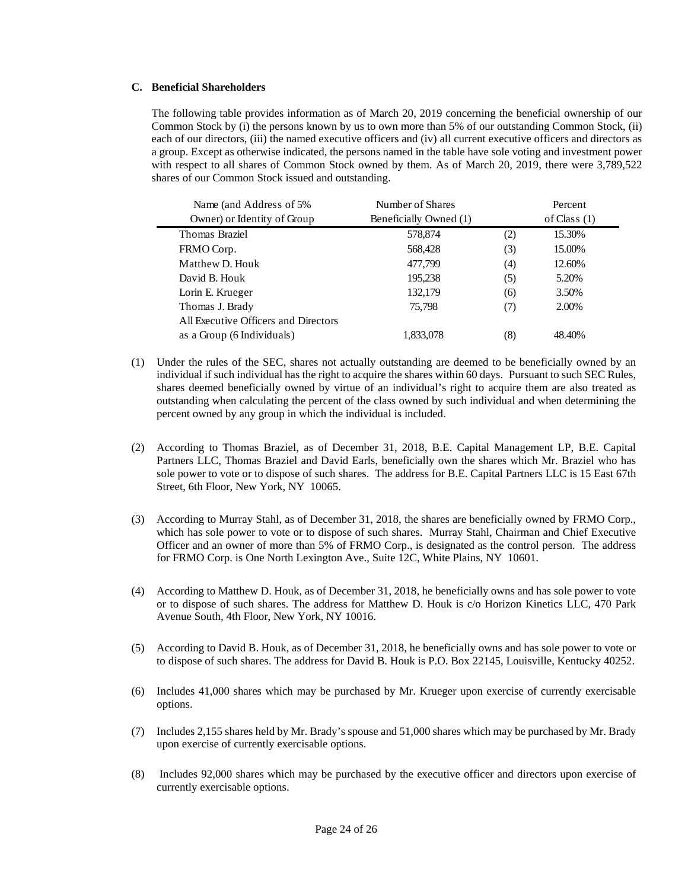#### **C. Beneficial Shareholders**

The following table provides information as of March 20, 2019 concerning the beneficial ownership of our Common Stock by (i) the persons known by us to own more than 5% of our outstanding Common Stock, (ii) each of our directors, (iii) the named executive officers and (iv) all current executive officers and directors as a group. Except as otherwise indicated, the persons named in the table have sole voting and investment power with respect to all shares of Common Stock owned by them. As of March 20, 2019, there were 3,789,522 shares of our Common Stock issued and outstanding.

| Name (and Address of 5%)             | Number of Shares       |     | Percent        |  |  |
|--------------------------------------|------------------------|-----|----------------|--|--|
| Owner) or Identity of Group          | Beneficially Owned (1) |     | of Class $(1)$ |  |  |
| Thomas Braziel                       | 578,874                | (2) | 15.30%         |  |  |
| FRMO Corp.                           | 568,428                | (3) | 15.00%         |  |  |
| Matthew D. Houk                      | 477,799                | (4) | 12.60%         |  |  |
| David B. Houk                        | 195,238                | (5) | 5.20%          |  |  |
| Lorin E. Krueger                     | 132,179                | (6) | 3.50%          |  |  |
| Thomas J. Brady                      | 75,798                 | (7) | 2.00%          |  |  |
| All Executive Officers and Directors |                        |     |                |  |  |
| as a Group (6 Individuals)           | 1,833,078              | (8) | 48.40%         |  |  |

- (1) Under the rules of the SEC, shares not actually outstanding are deemed to be beneficially owned by an individual if such individual has the right to acquire the shares within 60 days. Pursuant to such SEC Rules, shares deemed beneficially owned by virtue of an individual's right to acquire them are also treated as outstanding when calculating the percent of the class owned by such individual and when determining the percent owned by any group in which the individual is included.
- (2) According to Thomas Braziel, as of December 31, 2018, B.E. Capital Management LP, B.E. Capital Partners LLC, Thomas Braziel and David Earls, beneficially own the shares which Mr. Braziel who has sole power to vote or to dispose of such shares. The address for B.E. Capital Partners LLC is 15 East 67th Street, 6th Floor, New York, NY 10065.
- (3) According to Murray Stahl, as of December 31, 2018, the shares are beneficially owned by FRMO Corp., which has sole power to vote or to dispose of such shares. Murray Stahl, Chairman and Chief Executive Officer and an owner of more than 5% of FRMO Corp., is designated as the control person. The address for FRMO Corp. is One North Lexington Ave., Suite 12C, White Plains, NY 10601.
- (4) According to Matthew D. Houk, as of December 31, 2018, he beneficially owns and has sole power to vote or to dispose of such shares. The address for Matthew D. Houk is c/o Horizon Kinetics LLC, 470 Park Avenue South, 4th Floor, New York, NY 10016.
- (5) According to David B. Houk, as of December 31, 2018, he beneficially owns and has sole power to vote or to dispose of such shares. The address for David B. Houk is P.O. Box 22145, Louisville, Kentucky 40252.
- (6) Includes 41,000 shares which may be purchased by Mr. Krueger upon exercise of currently exercisable options.
- (7) Includes 2,155 shares held by Mr. Brady's spouse and 51,000 shares which may be purchased by Mr. Brady upon exercise of currently exercisable options.
- (8) Includes 92,000 shares which may be purchased by the executive officer and directors upon exercise of currently exercisable options.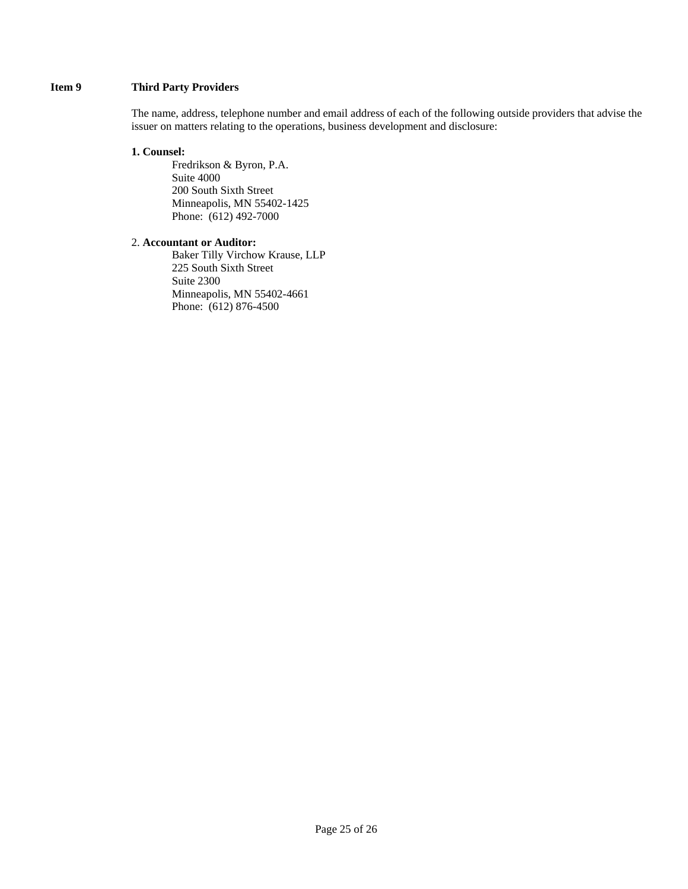## **Item 9 Third Party Providers**

The name, address, telephone number and email address of each of the following outside providers that advise the issuer on matters relating to the operations, business development and disclosure:

#### **1. Counsel:**

Fredrikson & Byron, P.A. Suite 4000 200 South Sixth Street Minneapolis, MN 55402-1425 Phone: (612) 492-7000

## 2. **Accountant or Auditor:**

 Baker Tilly Virchow Krause, LLP 225 South Sixth Street Suite 2300 Minneapolis, MN 55402-4661 Phone: (612) 876-4500